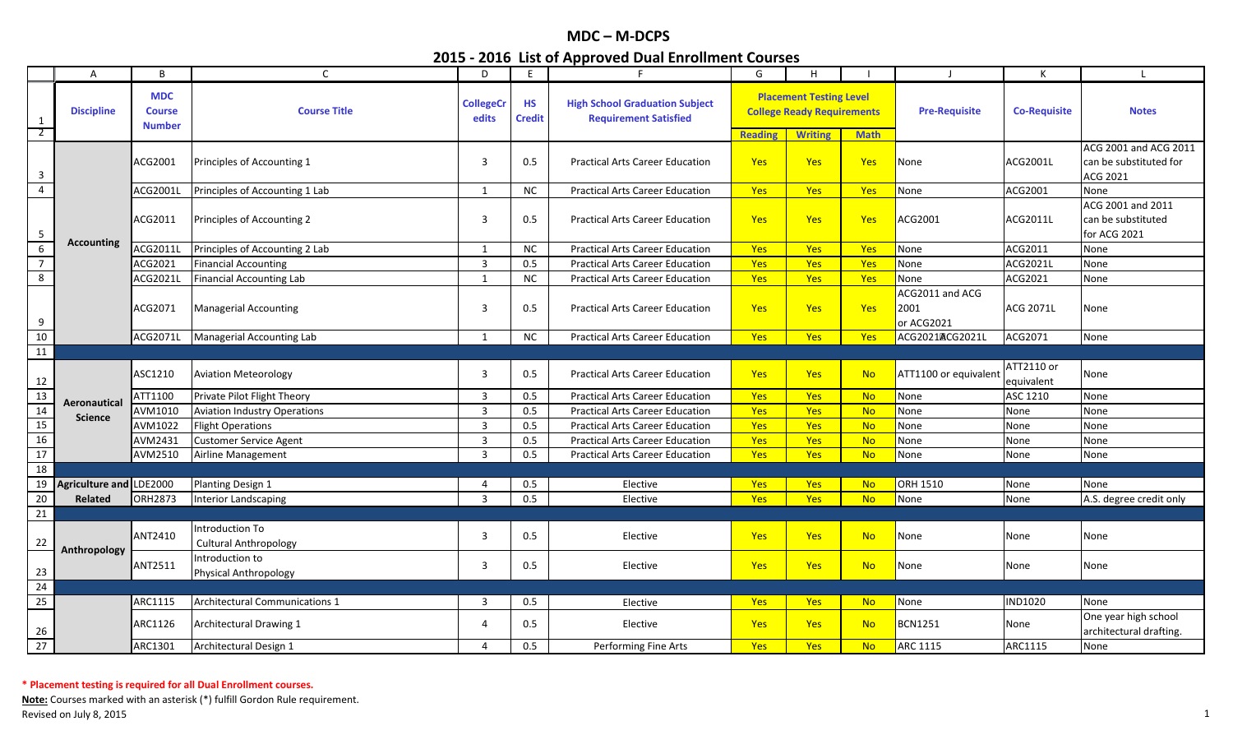|                                    | A                       | B                                            | C                                               | D                         | E.                         | F.                                                                    | G              | H                                                                   |             | $\perp$                               | К                        | L.                                                          |
|------------------------------------|-------------------------|----------------------------------------------|-------------------------------------------------|---------------------------|----------------------------|-----------------------------------------------------------------------|----------------|---------------------------------------------------------------------|-------------|---------------------------------------|--------------------------|-------------------------------------------------------------|
| 1<br>$\overline{2}$                | <b>Discipline</b>       | <b>MDC</b><br><b>Course</b><br><b>Number</b> | <b>Course Title</b>                             | <b>CollegeCr</b><br>edits | <b>HS</b><br><b>Credit</b> | <b>High School Graduation Subject</b><br><b>Requirement Satisfied</b> |                | <b>Placement Testing Level</b><br><b>College Ready Requirements</b> |             | <b>Pre-Requisite</b>                  | <b>Co-Requisite</b>      | <b>Notes</b>                                                |
|                                    |                         |                                              |                                                 |                           |                            |                                                                       | <b>Reading</b> | <b>Writing</b>                                                      | <b>Math</b> |                                       |                          |                                                             |
| $\mathbf{3}$                       |                         | ACG2001                                      | Principles of Accounting 1                      | 3                         | 0.5                        | <b>Practical Arts Career Education</b>                                | Yes            | <b>Yes</b>                                                          | Yes         | None                                  | ACG2001L                 | ACG 2001 and ACG 2011<br>can be substituted for<br>ACG 2021 |
| $\overline{4}$                     |                         | ACG2001L                                     | Principles of Accounting 1 Lab                  | $\mathbf{1}$              | NC.                        | <b>Practical Arts Career Education</b>                                | Yes            | Yes                                                                 | Yes         | None                                  | ACG2001                  | None                                                        |
| $5\phantom{.0}$                    |                         | ACG2011                                      | Principles of Accounting 2                      | $\overline{3}$            | 0.5                        | <b>Practical Arts Career Education</b>                                | Yes            | <b>Yes</b>                                                          | Yes         | ACG2001                               | ACG2011L                 | ACG 2001 and 2011<br>can be substituted<br>for ACG 2021     |
| $\overline{6}$                     | <b>Accounting</b>       | ACG2011L                                     | Principles of Accounting 2 Lab                  | 1                         | NC                         | <b>Practical Arts Career Education</b>                                | Yes            | Yes                                                                 | Yes         | None                                  | ACG2011                  | None                                                        |
| $\overline{7}$                     |                         | ACG2021                                      | <b>Financial Accounting</b>                     | $\overline{3}$            | 0.5                        | <b>Practical Arts Career Education</b>                                | Yes            | Yes                                                                 | Yes         | None                                  | ACG2021L                 | None                                                        |
| $\overline{8}$                     |                         | ACG2021L                                     | <b>Financial Accounting Lab</b>                 | 1                         | <b>NC</b>                  | <b>Practical Arts Career Education</b>                                | Yes            | Yes                                                                 | <b>Yes</b>  | None                                  | ACG2021                  | None                                                        |
| 9                                  |                         | ACG2071                                      | <b>Managerial Accounting</b>                    | $\overline{3}$            | 0.5                        | <b>Practical Arts Career Education</b>                                | Yes            | Yes                                                                 | Yes         | ACG2011 and ACG<br>2001<br>or ACG2021 | ACG 2071L                | None                                                        |
| 10                                 |                         | ACG2071L                                     | Managerial Accounting Lab                       | 1                         | NC                         | <b>Practical Arts Career Education</b>                                | Yes            | Yes                                                                 | Yes         | ACG2021ACG2021L                       | ACG2071                  | None                                                        |
| 11                                 |                         |                                              |                                                 |                           |                            |                                                                       |                |                                                                     |             |                                       |                          |                                                             |
| $12$                               |                         | ASC1210                                      | <b>Aviation Meteorology</b>                     | 3                         | 0.5                        | <b>Practical Arts Career Education</b>                                | Yes            | Yes                                                                 | <b>No</b>   | ATT1100 or equivalent                 | ATT2110 or<br>equivalent | None                                                        |
| 13                                 | Aeronautical            | ATT1100                                      | Private Pilot Flight Theory                     | 3                         | 0.5                        | <b>Practical Arts Career Education</b>                                | Yes            | Yes                                                                 | <b>No</b>   | None                                  | ASC 1210                 | None                                                        |
|                                    | <b>Science</b>          | AVM1010                                      | <b>Aviation Industry Operations</b>             | $\overline{3}$            | 0.5                        | <b>Practical Arts Career Education</b>                                | Yes            | Yes                                                                 | <b>No</b>   | None                                  | None                     | None                                                        |
| $\frac{14}{15}$<br>$\frac{15}{16}$ |                         | AVM1022                                      | <b>Flight Operations</b>                        | $\overline{3}$            | 0.5                        | <b>Practical Arts Career Education</b>                                | Yes            | Yes                                                                 | <b>No</b>   | None                                  | None                     | None                                                        |
|                                    |                         | AVM2431                                      | <b>Customer Service Agent</b>                   | $\overline{3}$            | 0.5                        | <b>Practical Arts Career Education</b>                                | Yes            | Yes                                                                 | <b>No</b>   | None                                  | None                     | None                                                        |
|                                    |                         | AVM2510                                      | Airline Management                              | $\mathbf{3}$              | 0.5                        | <b>Practical Arts Career Education</b>                                | Yes            | Yes                                                                 | <b>No</b>   | None                                  | None                     | None                                                        |
| 18                                 |                         |                                              |                                                 |                           |                            |                                                                       |                |                                                                     |             |                                       |                          |                                                             |
| 19                                 | Agriculture and LDE2000 |                                              | Planting Design 1                               | 4                         | 0.5                        | Elective                                                              | Yes            | <b>Yes</b>                                                          | <b>No</b>   | ORH 1510                              | None                     | None                                                        |
| $20\,$                             | Related                 | ORH2873                                      | <b>Interior Landscaping</b>                     | $\mathbf{R}$              | 0.5                        | Elective                                                              | Yes            | Yes                                                                 | <b>No</b>   | None                                  | None                     | A.S. degree credit only                                     |
| 21                                 |                         |                                              |                                                 |                           |                            |                                                                       |                |                                                                     |             |                                       |                          |                                                             |
| 22                                 | Anthropology            | ANT2410                                      | Introduction To<br><b>Cultural Anthropology</b> | $\overline{3}$            | 0.5                        | Elective                                                              | Yes            | <b>Yes</b>                                                          | <b>No</b>   | None                                  | None                     | None                                                        |
| 23                                 |                         | ANT2511                                      | Introduction to<br><b>Physical Anthropology</b> | 3                         | 0.5                        | Elective                                                              | Yes            | <b>Yes</b>                                                          | <b>No</b>   | None                                  | None                     | None                                                        |
| 24                                 |                         |                                              |                                                 |                           |                            |                                                                       |                |                                                                     |             |                                       |                          |                                                             |
| 25                                 |                         | ARC1115                                      | <b>Architectural Communications 1</b>           | $\overline{3}$            | 0.5                        | Elective                                                              | Yes            | <b>Yes</b>                                                          | <b>No</b>   | None                                  | ND1020                   | None                                                        |
| $\frac{26}{27}$                    |                         | ARC1126                                      | Architectural Drawing 1                         | 4                         | 0.5                        | Elective                                                              | Yes            | Yes                                                                 | <b>No</b>   | <b>BCN1251</b>                        | None                     | One year high school<br>architectural drafting.             |
|                                    |                         | ARC1301                                      | Architectural Design 1                          | 4                         | 0.5                        | Performing Fine Arts                                                  | Yes            | Yes                                                                 | <b>No</b>   | ARC 1115                              | ARC1115                  | None                                                        |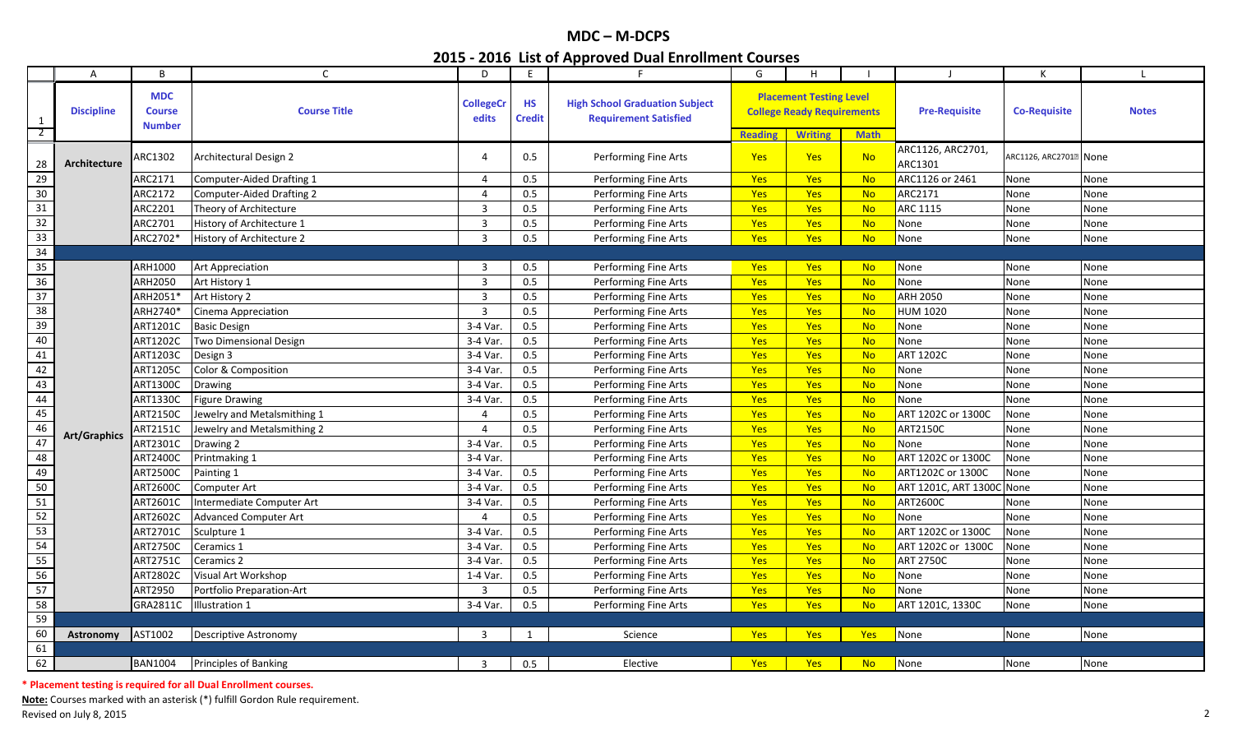|                     | $\mathsf{A}$      | B                                            | C                            | D                         | E                          | F                                                                     | G                            | H                                                                   |                          | $\blacksquare$               | К                                  |              |
|---------------------|-------------------|----------------------------------------------|------------------------------|---------------------------|----------------------------|-----------------------------------------------------------------------|------------------------------|---------------------------------------------------------------------|--------------------------|------------------------------|------------------------------------|--------------|
| 1<br>$\overline{2}$ | <b>Discipline</b> | <b>MDC</b><br><b>Course</b><br><b>Number</b> | <b>Course Title</b>          | <b>CollegeCr</b><br>edits | <b>HS</b><br><b>Credit</b> | <b>High School Graduation Subject</b><br><b>Requirement Satisfied</b> |                              | <b>Placement Testing Level</b><br><b>College Ready Requirements</b> |                          | <b>Pre-Requisite</b>         | <b>Co-Requisite</b>                | <b>Notes</b> |
| 28                  | Architecture      | ARC1302                                      | Architectural Design 2       | 4                         | 0.5                        | Performing Fine Arts                                                  | <b>Reading</b><br><b>Yes</b> | <b>Writing</b><br><b>Yes</b>                                        | <b>Math</b><br><b>No</b> | ARC1126, ARC2701,<br>ARC1301 | ARC1126, ARC2701 <sup>®</sup> None |              |
| 29                  |                   | ARC2171                                      | Computer-Aided Drafting 1    | $\overline{4}$            | 0.5                        | Performing Fine Arts                                                  | Yes                          | Yes                                                                 | <b>No</b>                | ARC1126 or 2461              | None                               | None         |
| $30\,$              |                   | ARC2172                                      | Computer-Aided Drafting 2    | 4                         | 0.5                        | Performing Fine Arts                                                  | Yes                          | Yes                                                                 | <b>No</b>                | ARC2171                      | None                               | None         |
| $31\,$              |                   | ARC2201                                      | Theory of Architecture       | 3                         | 0.5                        | Performing Fine Arts                                                  | Yes                          | Yes                                                                 | <b>No</b>                | <b>ARC 1115</b>              | None                               | None         |
| $\overline{32}$     |                   | ARC2701                                      | History of Architecture 1    | $\overline{3}$            | 0.5                        | Performing Fine Arts                                                  | Yes                          | Yes                                                                 | <b>No</b>                | None                         | None                               | None         |
| 33                  |                   | ARC2702*                                     | History of Architecture 2    | $\overline{3}$            | 0.5                        | Performing Fine Arts                                                  | Yes                          | <b>Yes</b>                                                          | <b>No</b>                | None                         | None                               | None         |
| 34                  |                   |                                              |                              |                           |                            |                                                                       |                              |                                                                     |                          |                              |                                    |              |
| 35                  |                   | ARH1000                                      | <b>Art Appreciation</b>      | $\overline{3}$            | 0.5                        | Performing Fine Arts                                                  | <b>Yes</b>                   | <b>Yes</b>                                                          | <b>No</b>                | None                         | None                               | None         |
| 36                  |                   | ARH2050                                      | Art History 1                | 3                         | 0.5                        | Performing Fine Arts                                                  | Yes                          | Yes                                                                 | <b>No</b>                | None                         | None                               | None         |
| $37\,$              |                   | ARH2051*                                     | Art History 2                | 3                         | 0.5                        | Performing Fine Arts                                                  | Yes                          | Yes                                                                 | <b>No</b>                | ARH 2050                     | None                               | None         |
| 38                  |                   | ARH2740*                                     | Cinema Appreciation          | $\overline{3}$            | 0.5                        | Performing Fine Arts                                                  | Yes                          | <b>Yes</b>                                                          | <b>No</b>                | <b>HUM 1020</b>              | None                               | None         |
| 39                  |                   | ART1201C                                     | <b>Basic Design</b>          | 3-4 Var                   | 0.5                        | Performing Fine Arts                                                  | Yes                          | Yes                                                                 | <b>No</b>                | None                         | None                               | None         |
| $40\,$              |                   | <b>ART1202C</b>                              | Two Dimensional Design       | 3-4 Var                   | 0.5                        | Performing Fine Arts                                                  | Yes                          | <b>Yes</b>                                                          | <b>No</b>                | None                         | None                               | None         |
| 41                  |                   | ART1203C                                     | Design 3                     | 3-4 Var                   | 0.5                        | Performing Fine Arts                                                  | Yes                          | Yes                                                                 | <b>No</b>                | <b>ART 1202C</b>             | None                               | None         |
| 42                  |                   | ART1205C                                     | Color & Composition          | 3-4 Var                   | 0.5                        | Performing Fine Arts                                                  | Yes                          | Yes                                                                 | <b>No</b>                | None                         | None                               | None         |
| 43                  |                   | <b>ART1300C</b>                              | <b>Drawing</b>               | 3-4 Var                   | 0.5                        | Performing Fine Arts                                                  | <b>Yes</b>                   | Yes                                                                 | <b>No</b>                | None                         | None                               | None         |
| 44                  |                   | ART1330C                                     | <b>Figure Drawing</b>        | 3-4 Var                   | 0.5                        | Performing Fine Arts                                                  | Yes                          | Yes                                                                 | <b>No</b>                | None                         | None                               | None         |
| 45                  |                   | ART2150C                                     | Jewelry and Metalsmithing 1  | 4                         | 0.5                        | Performing Fine Arts                                                  | <b>Yes</b>                   | Yes                                                                 | <b>No</b>                | ART 1202C or 1300C           | None                               | None         |
| 46                  |                   | ART2151C                                     | Jewelry and Metalsmithing 2  | $\overline{4}$            | 0.5                        | Performing Fine Arts                                                  | Yes                          | Yes                                                                 | No                       | ART2150C                     | None                               | None         |
| 47                  | Art/Graphics      | ART2301C                                     | Drawing 2                    | 3-4 Var                   | 0.5                        | Performing Fine Arts                                                  | Yes                          | Yes                                                                 | <b>No</b>                | None                         | None                               | None         |
| 48                  |                   | <b>ART2400C</b>                              | Printmaking 1                | 3-4 Var.                  |                            | Performing Fine Arts                                                  | <b>Yes</b>                   | Yes                                                                 | <b>No</b>                | ART 1202C or 1300C           | None                               | None         |
| 49                  |                   | ART2500C                                     | Painting 1                   | 3-4 Var.                  | 0.5                        | Performing Fine Arts                                                  | Yes                          | Yes                                                                 | <b>No</b>                | ART1202C or 1300C            | None                               | None         |
| 50                  |                   | ART2600C                                     | Computer Art                 | 3-4 Var                   | 0.5                        | Performing Fine Arts                                                  | <b>Yes</b>                   | Yes                                                                 | <b>No</b>                | ART 1201C, ART 1300C         | None                               | None         |
| ${\bf 51}$          |                   | ART2601C                                     | Intermediate Computer Art    | 3-4 Var                   | $0.5\,$                    | Performing Fine Arts                                                  | Yes                          | Yes                                                                 | <b>No</b>                | <b>ART2600C</b>              | None                               | None         |
| 52                  |                   | ART2602C                                     | <b>Advanced Computer Art</b> | $\Delta$                  | 0.5                        | Performing Fine Arts                                                  | Yes                          | Yes                                                                 | <b>No</b>                | None                         | None                               | None         |
| 53                  |                   | ART2701C                                     | Sculpture 1                  | 3-4 Var                   | 0.5                        | Performing Fine Arts                                                  | Yes                          | <b>Yes</b>                                                          | <b>No</b>                | ART 1202C or 1300C           | None                               | None         |
| 54                  |                   | <b>ART2750C</b>                              | Ceramics 1                   | 3-4 Var                   | 0.5                        | Performing Fine Arts                                                  | <b>Yes</b>                   | <b>Yes</b>                                                          | <b>No</b>                | ART 1202C or 1300C           | None                               | None         |
| $\overline{55}$     |                   | ART2751C                                     | Ceramics 2                   | 3-4 Var                   | 0.5                        | Performing Fine Arts                                                  | <b>Yes</b>                   | Yes                                                                 | <b>No</b>                | <b>ART 2750C</b>             | None                               | None         |
| 56                  |                   | ART2802C                                     | Visual Art Workshop          | $1-4$ Var                 | 0.5                        | Performing Fine Arts                                                  | Yes                          | Yes                                                                 | <b>No</b>                | None                         | None                               | None         |
| $\overline{57}$     |                   | ART2950                                      | Portfolio Preparation-Art    | $\overline{3}$            | 0.5                        | Performing Fine Arts                                                  | Yes                          | <b>Yes</b>                                                          | <b>No</b>                | None                         | None                               | None         |
| 58                  |                   | GRA2811C                                     | Illustration 1               | 3-4 Var                   | 0.5                        | Performing Fine Arts                                                  | Yes                          | <b>Yes</b>                                                          | <b>No</b>                | ART 1201C, 1330C             | None                               | None         |
| 59                  |                   |                                              |                              |                           |                            |                                                                       |                              |                                                                     |                          |                              |                                    |              |
| 60                  | Astronomy         | AST1002                                      | Descriptive Astronomy        | 3                         | 1                          | Science                                                               | <b>Yes</b>                   | <b>Yes</b>                                                          | <b>Yes</b>               | None                         | None                               | None         |
| 61                  |                   |                                              |                              |                           |                            |                                                                       |                              |                                                                     |                          |                              |                                    |              |
| 62                  |                   | <b>BAN1004</b>                               | Principles of Banking        | $\overline{3}$            | 0.5                        | Elective                                                              | <b>Yes</b>                   | <b>Yes</b>                                                          | <b>No</b>                | None                         | None                               | None         |

**\* Placement testing is required for all Dual Enrollment courses.**

**Note:** Courses marked with an asterisk (\*) fulfill Gordon Rule requirement. Revised on July 8, 2015 2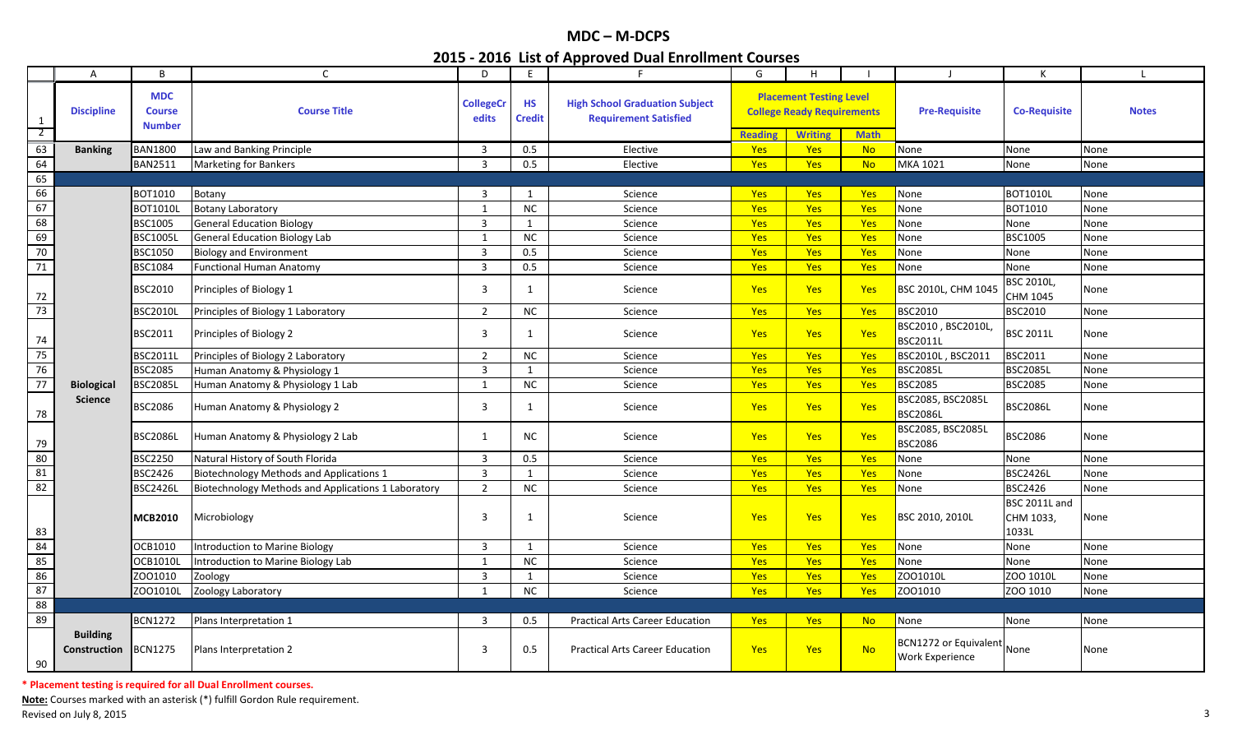|                | A                                      | B                                            | $\mathsf{C}$                                        | D                         | E                          | F                                                                     | G              | H                                                                   |             | $\mathsf{J}$                                           | К                                   | L.           |
|----------------|----------------------------------------|----------------------------------------------|-----------------------------------------------------|---------------------------|----------------------------|-----------------------------------------------------------------------|----------------|---------------------------------------------------------------------|-------------|--------------------------------------------------------|-------------------------------------|--------------|
| $\mathbf{1}$   | <b>Discipline</b>                      | <b>MDC</b><br><b>Course</b><br><b>Number</b> | <b>Course Title</b>                                 | <b>CollegeCr</b><br>edits | <b>HS</b><br><b>Credit</b> | <b>High School Graduation Subject</b><br><b>Requirement Satisfied</b> |                | <b>Placement Testing Level</b><br><b>College Ready Requirements</b> |             | <b>Pre-Requisite</b>                                   | <b>Co-Requisite</b>                 | <b>Notes</b> |
| $\overline{2}$ |                                        |                                              |                                                     |                           |                            |                                                                       | <b>Reading</b> | <b>Writing</b>                                                      | <b>Math</b> |                                                        |                                     |              |
| 63             | <b>Banking</b>                         | <b>BAN1800</b>                               | Law and Banking Principle                           | $\overline{3}$            | 0.5                        | Elective                                                              | Yes            | Yes                                                                 | <b>No</b>   | None                                                   | None                                | None         |
| 64             |                                        | <b>BAN2511</b>                               | <b>Marketing for Bankers</b>                        | $\overline{3}$            | 0.5                        | Elective                                                              | <b>Yes</b>     | Yes                                                                 | <b>No</b>   | <b>MKA 1021</b>                                        | None                                | None         |
| 65             |                                        |                                              |                                                     |                           |                            |                                                                       |                |                                                                     |             |                                                        |                                     |              |
| 66             |                                        | <b>BOT1010</b>                               | Botany                                              | 3                         | 1                          | Science                                                               | <b>Yes</b>     | <b>Yes</b>                                                          | <b>Yes</b>  | None                                                   | <b>BOT1010L</b>                     | None         |
| 67             |                                        | <b>BOT1010L</b>                              | <b>Botany Laboratory</b>                            | 1                         | NC                         | Science                                                               | <b>Yes</b>     | Yes                                                                 | Yes         | None                                                   | BOT1010                             | None         |
| 68             |                                        | <b>BSC1005</b>                               | <b>General Education Biology</b>                    | $\overline{3}$            | 1                          | Science                                                               | Yes            | Yes                                                                 | Yes         | None                                                   | None                                | None         |
| 69             |                                        | <b>BSC10051</b>                              | <b>General Education Biology Lab</b>                | 1                         | NC                         | Science                                                               | <b>Yes</b>     | Yes                                                                 | Yes         | None                                                   | <b>BSC1005</b>                      | None         |
| 70             |                                        | <b>BSC1050</b>                               | <b>Biology and Environment</b>                      | $\overline{3}$            | 0.5                        | Science                                                               | Yes            | Yes                                                                 | Yes         | None                                                   | None                                | None         |
| 71             |                                        | <b>BSC1084</b>                               | unctional Human Anatomy                             | $\overline{3}$            | 0.5                        | Science                                                               | Yes            | Yes                                                                 | <b>Yes</b>  | None                                                   | None                                | None         |
| 72             |                                        | <b>BSC2010</b>                               | Principles of Biology 1                             | 3                         | 1                          | Science                                                               | <b>Yes</b>     | Yes                                                                 | <b>Yes</b>  | <b>BSC 2010L, CHM 104</b>                              | <b>BSC 2010L,</b><br>CHM 1045       | None         |
| 73             |                                        | <b>BSC2010L</b>                              | Principles of Biology 1 Laboratory                  | $\overline{2}$            | <b>NC</b>                  | Science                                                               | <b>Yes</b>     | Yes                                                                 | Yes         | <b>BSC2010</b>                                         | BSC2010                             | None         |
| 74             |                                        | <b>BSC2011</b>                               | Principles of Biology 2                             | 3                         | 1                          | Science                                                               | <b>Yes</b>     | <b>Yes</b>                                                          | Yes         | BSC2010, BSC2010L,<br><b>BSC2011L</b>                  | <b>BSC 2011L</b>                    | None         |
| 75             |                                        | <b>BSC2011L</b>                              | Principles of Biology 2 Laboratory                  | $\overline{2}$            | $NC$                       | Science                                                               | <b>Yes</b>     | Yes                                                                 | Yes         | BSC2010L, BSC2011                                      | <b>BSC2011</b>                      | None         |
| 76             |                                        | <b>BSC2085</b>                               | Human Anatomy & Physiology 1                        | $\mathbf{3}$              | $\mathbf{1}$               | Science                                                               | <b>Yes</b>     | Yes                                                                 | Yes         | <b>BSC2085L</b>                                        | <b>BSC2085L</b>                     | None         |
| 77             | <b>Biological</b>                      | <b>BSC2085L</b>                              | Human Anatomy & Physiology 1 Lab                    | 1                         | $NC$                       | Science                                                               | Yes            | Yes                                                                 | Yes         | <b>BSC2085</b>                                         | <b>BSC2085</b>                      | None         |
| 78             | <b>Science</b>                         | <b>BSC2086</b>                               | Human Anatomy & Physiology 2                        | 3                         | $\mathbf{1}$               | Science                                                               | <b>Yes</b>     | Yes                                                                 | Yes         | BSC2085, BSC2085L<br><b>BSC2086L</b>                   | <b>BSC2086L</b>                     | None         |
| 79             |                                        | <b>BSC2086L</b>                              | Human Anatomy & Physiology 2 Lab                    | 1                         | <b>NC</b>                  | Science                                                               | <b>Yes</b>     | Yes                                                                 | Yes         | BSC2085, BSC2085L<br><b>BSC2086</b>                    | <b>BSC2086</b>                      | None         |
| 80             |                                        | <b>BSC2250</b>                               | Natural History of South Florida                    | $\overline{3}$            | 0.5                        | Science                                                               | Yes            | Yes                                                                 | Yes         | None                                                   | None                                | None         |
| 81             |                                        | <b>BSC2426</b>                               | <b>Biotechnology Methods and Applications 1</b>     | $\mathbf{3}$              | $\mathbf{1}$               | Science                                                               | Yes            | Yes                                                                 | Yes         | None                                                   | <b>BSC2426L</b>                     | None         |
| 82             |                                        | <b>BSC2426L</b>                              | Biotechnology Methods and Applications 1 Laboratory | $\overline{2}$            | NC                         | Science                                                               | <b>Yes</b>     | Yes                                                                 | Yes         | None                                                   | <b>BSC2426</b>                      | None         |
| 83             |                                        | <b>MCB2010</b>                               | Microbiology                                        | 3                         | 1                          | Science                                                               | <b>Yes</b>     | Yes                                                                 | <b>Yes</b>  | <b>BSC 2010, 2010L</b>                                 | BSC 2011L and<br>CHM 1033,<br>1033L | None         |
| 84             |                                        | OCB1010                                      | ntroduction to Marine Biology                       | $\overline{3}$            | 1                          | Science                                                               | Yes            | Yes                                                                 | <b>Yes</b>  | None                                                   | None                                | None         |
| 85             |                                        | <b>OCB1010L</b>                              | Introduction to Marine Biology Lab                  | 1                         | NC                         | Science                                                               | <b>Yes</b>     | <b>Yes</b>                                                          | Yes         | None                                                   | None                                | None         |
| 86             |                                        | Z001010                                      | Zoology                                             | $\overline{3}$            | 1                          | Science                                                               | Yes            | Yes                                                                 | Yes         | ZO01010L                                               | ZOO 1010L                           | None         |
| 87             |                                        | ZO01010L                                     | Zoology Laboratory                                  | 1                         | NC                         | Science                                                               | <b>Yes</b>     | <b>Yes</b>                                                          | Yes         | ZO01010                                                | ZOO 1010                            | None         |
| 88             |                                        |                                              |                                                     |                           |                            |                                                                       |                |                                                                     |             |                                                        |                                     |              |
| 89             |                                        | <b>BCN1272</b>                               | Plans Interpretation 1                              | 3                         | 0.5                        | <b>Practical Arts Career Education</b>                                | <b>Yes</b>     | Yes                                                                 | <b>No</b>   | None                                                   | None                                | None         |
| 90             | <b>Building</b><br><b>Construction</b> | <b>BCN1275</b>                               | Plans Interpretation 2                              | 3                         | 0.5                        | <b>Practical Arts Career Education</b>                                | <b>Yes</b>     | <b>Yes</b>                                                          | <b>No</b>   | <b>BCN1272 or Equivalent</b><br><b>Work Experience</b> | None                                | None         |

**\* Placement testing is required for all Dual Enrollment courses.**

**Note:** Courses marked with an asterisk (\*) fulfill Gordon Rule requirement. Revised on July 8, 2015 **3**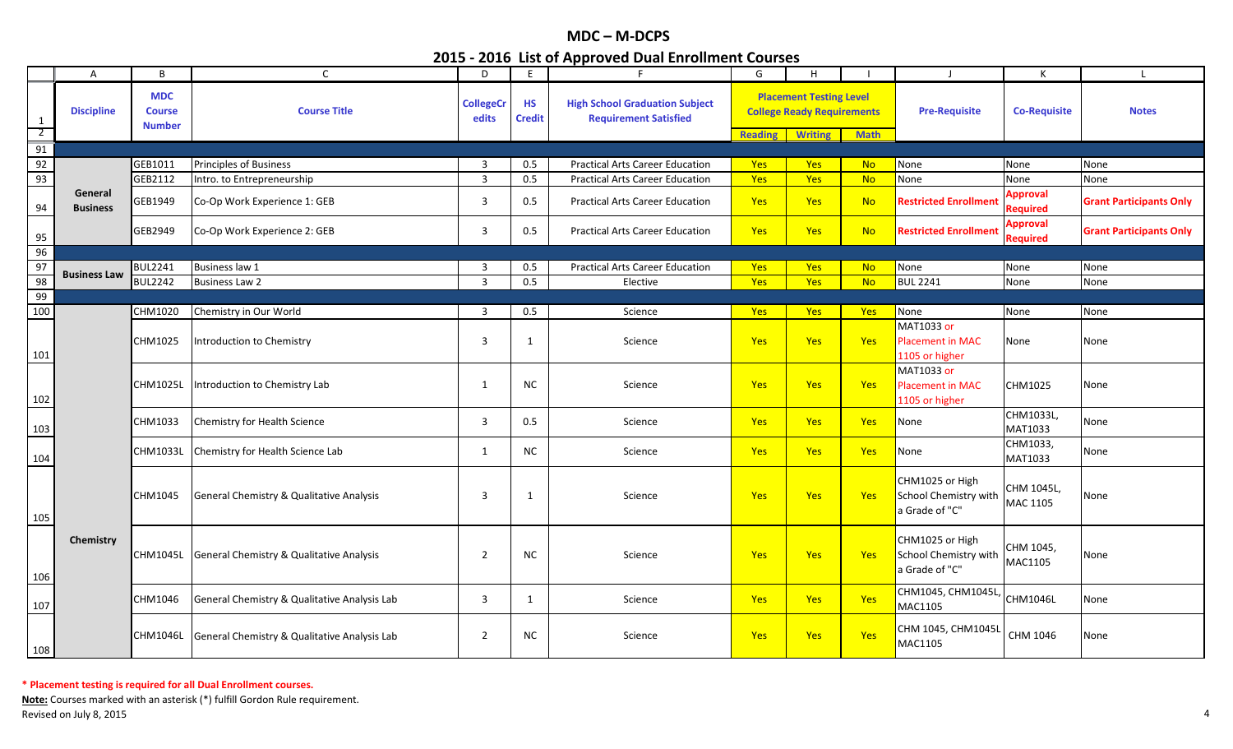|                                | Α                          | B                                            | $\mathsf{C}$                                      | D                         | E                          | F                                                                     | G              | H                                                                                     |             |                                                            | K                                  | $\blacksquare$                 |
|--------------------------------|----------------------------|----------------------------------------------|---------------------------------------------------|---------------------------|----------------------------|-----------------------------------------------------------------------|----------------|---------------------------------------------------------------------------------------|-------------|------------------------------------------------------------|------------------------------------|--------------------------------|
| $\mathbf{1}$<br>$\overline{2}$ | <b>Discipline</b>          | <b>MDC</b><br><b>Course</b><br><b>Number</b> | <b>Course Title</b>                               | <b>CollegeCr</b><br>edits | <b>HS</b><br><b>Credit</b> | <b>High School Graduation Subject</b><br><b>Requirement Satisfied</b> | <b>Reading</b> | <b>Placement Testing Level</b><br><b>College Ready Requirements</b><br><b>Writing</b> | <b>Math</b> | <b>Pre-Requisite</b>                                       | <b>Co-Requisite</b>                | <b>Notes</b>                   |
| 91                             |                            |                                              |                                                   |                           |                            |                                                                       |                |                                                                                       |             |                                                            |                                    |                                |
| 92                             |                            | GEB1011                                      | Principles of Business                            | 3                         | 0.5                        | <b>Practical Arts Career Education</b>                                | <b>Yes</b>     | <b>Yes</b>                                                                            | <b>No</b>   | None                                                       | None                               | None                           |
| 93                             |                            | GEB2112                                      | Intro. to Entrepreneurship                        | $\mathbf{3}$              | 0.5                        | <b>Practical Arts Career Education</b>                                | Yes            | Yes                                                                                   | <b>No</b>   | None                                                       | None                               | None                           |
| 94                             | General<br><b>Business</b> | GEB1949                                      | Co-Op Work Experience 1: GEB                      | 3                         | 0.5                        | <b>Practical Arts Career Education</b>                                | Yes            | Yes                                                                                   | <b>No</b>   | <b>Restricted Enrollment</b>                               | <b>Approval</b><br><b>Required</b> | <b>Grant Participants Only</b> |
| 95                             |                            | GEB2949                                      | Co-Op Work Experience 2: GEB                      | 3                         | 0.5                        | <b>Practical Arts Career Education</b>                                | Yes            | <b>Yes</b>                                                                            | <b>No</b>   | <b>Restricted Enrollment</b>                               | <b>Approval</b><br><b>Required</b> | <b>Grant Participants Only</b> |
| 96                             |                            |                                              |                                                   |                           |                            |                                                                       |                |                                                                                       |             |                                                            |                                    |                                |
| 97                             | <b>Business Law</b>        | <b>BUL2241</b>                               | <b>Business law 1</b>                             | 3                         | 0.5                        | <b>Practical Arts Career Education</b>                                | <b>Yes</b>     | <b>Yes</b>                                                                            | <b>No</b>   | None                                                       | None                               | None                           |
| 98                             |                            | <b>BUL2242</b>                               | <b>Business Law 2</b>                             | 3                         | 0.5                        | Elective                                                              | Yes            | <b>Yes</b>                                                                            | <b>No</b>   | <b>BUL 2241</b>                                            | None                               | None                           |
| 99                             |                            |                                              |                                                   |                           |                            |                                                                       |                |                                                                                       |             |                                                            |                                    |                                |
| 100                            |                            | CHM1020                                      | Chemistry in Our World                            | 3                         | 0.5                        | Science                                                               | <b>Yes</b>     | <b>Yes</b>                                                                            | Yes         | None                                                       | None                               | None                           |
| 101                            |                            | CHM1025                                      | ntroduction to Chemistry                          | 3                         | 1                          | Science                                                               | Yes            | <b>Yes</b>                                                                            | Yes         | MAT1033 or<br><b>Placement in MAC</b><br>1105 or higher    | None                               | None                           |
| 102                            |                            | CHM1025L                                     | Introduction to Chemistry Lab                     | 1                         | <b>NC</b>                  | Science                                                               | <b>Yes</b>     | <b>Yes</b>                                                                            | Yes         | MAT1033 or<br><b>Placement in MAC</b><br>1105 or higher    | CHM1025                            | None                           |
| 103                            |                            | CHM1033                                      | Chemistry for Health Science                      | $\mathbf{3}$              | 0.5                        | Science                                                               | Yes            | Yes                                                                                   | Yes         | None                                                       | CHM1033L,<br>MAT1033               | None                           |
| 104                            |                            | CHM1033L                                     | Chemistry for Health Science Lab                  | $\mathbf{1}$              | <b>NC</b>                  | Science                                                               | Yes            | <b>Yes</b>                                                                            | Yes         | None                                                       | CHM1033,<br>MAT1033                | None                           |
| 105                            |                            | CHM1045                                      | General Chemistry & Qualitative Analysis          | 3                         | 1                          | Science                                                               | Yes            | Yes                                                                                   | Yes         | CHM1025 or High<br>School Chemistry with<br>a Grade of "C" | CHM 1045L,<br>MAC 1105             | None                           |
| 106                            | Chemistry                  |                                              | CHM1045L General Chemistry & Qualitative Analysis | $\overline{2}$            | <b>NC</b>                  | Science                                                               | <b>Yes</b>     | <b>Yes</b>                                                                            | Yes         | CHM1025 or High<br>School Chemistry with<br>a Grade of "C" | CHM 1045,<br>MAC1105               | None                           |
| 107                            |                            | CHM1046                                      | General Chemistry & Qualitative Analysis Lab      | 3                         | 1                          | Science                                                               | <b>Yes</b>     | Yes                                                                                   | Yes         | CHM1045, CHM1045L,<br>MAC1105                              | CHM1046L                           | None                           |
| 108                            |                            | CHM1046L                                     | General Chemistry & Qualitative Analysis Lab      | $\overline{2}$            | <b>NC</b>                  | Science                                                               | <b>Yes</b>     | <b>Yes</b>                                                                            | Yes         | CHM 1045, CHM1045L<br>MAC1105                              | CHM 1046                           | None                           |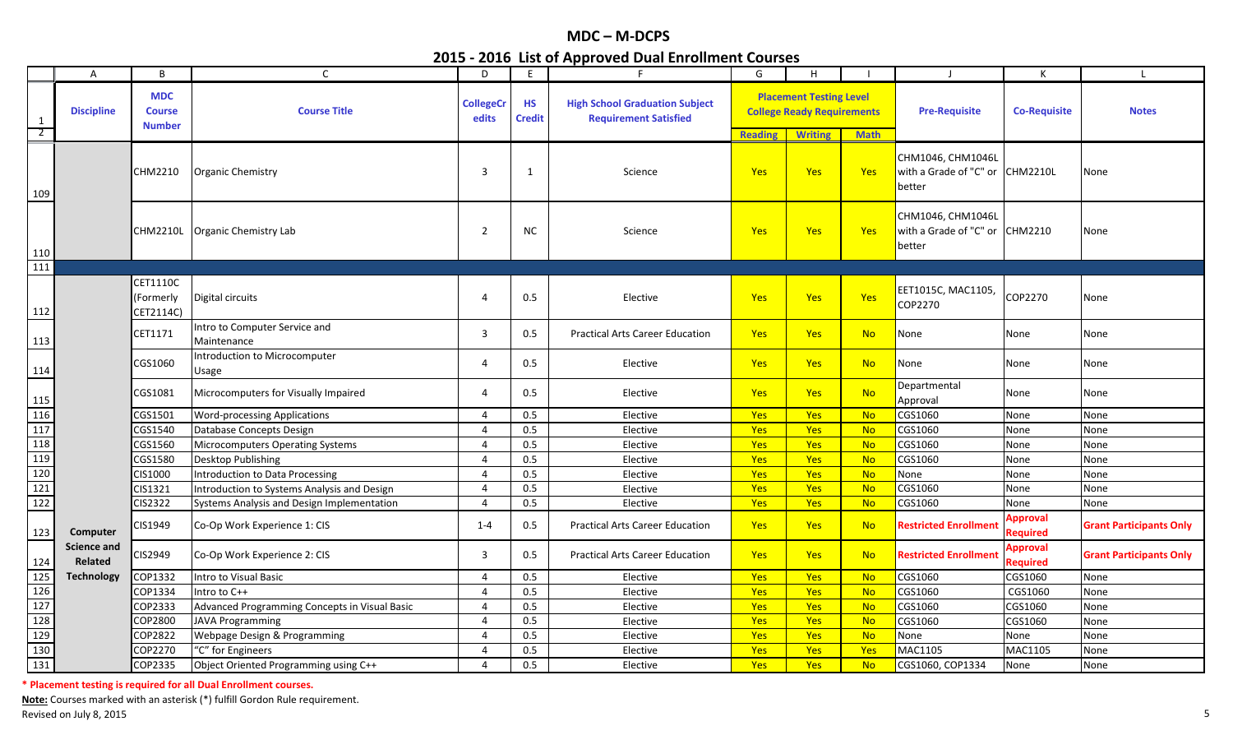|                                | $\mathsf{A}$                  | B                                            | C.                                            | D                         | E                          | F                                                                     | G              | H                                                                                     |             | - 1                                                            | К                                  | L                              |
|--------------------------------|-------------------------------|----------------------------------------------|-----------------------------------------------|---------------------------|----------------------------|-----------------------------------------------------------------------|----------------|---------------------------------------------------------------------------------------|-------------|----------------------------------------------------------------|------------------------------------|--------------------------------|
| $\mathbf{1}$<br>$\overline{2}$ | <b>Discipline</b>             | <b>MDC</b><br><b>Course</b><br><b>Number</b> | <b>Course Title</b>                           | <b>CollegeCr</b><br>edits | <b>HS</b><br><b>Credit</b> | <b>High School Graduation Subject</b><br><b>Requirement Satisfied</b> | <b>Reading</b> | <b>Placement Testing Level</b><br><b>College Ready Requirements</b><br><b>Writing</b> | <b>Math</b> | <b>Pre-Requisite</b>                                           | <b>Co-Requisite</b>                | <b>Notes</b>                   |
| 109                            |                               | CHM2210                                      | <b>Organic Chemistry</b>                      | 3                         | 1                          | Science                                                               | <b>Yes</b>     | <b>Yes</b>                                                                            | Yes         | CHM1046, CHM1046L<br>with a Grade of "C" or CHM2210L<br>better |                                    | None                           |
| 110                            |                               | <b>CHM2210L</b>                              | Organic Chemistry Lab                         | $\overline{2}$            | <b>NC</b>                  | Science                                                               | <b>Yes</b>     | <b>Yes</b>                                                                            | Yes         | CHM1046, CHM1046L<br>with a Grade of "C" or CHM2210<br>better  |                                    | None                           |
| 111                            |                               |                                              |                                               |                           |                            |                                                                       |                |                                                                                       |             |                                                                |                                    |                                |
| 112                            |                               | CET1110C<br>(Formerly<br>CET2114C)           | Digital circuits                              | $\overline{4}$            | 0.5                        | Elective                                                              | Yes            | <b>Yes</b>                                                                            | Yes         | EET1015C, MAC1105,<br>COP2270                                  | COP2270                            | None                           |
| 113                            |                               | CET1171                                      | Intro to Computer Service and<br>Maintenance  | 3                         | 0.5                        | <b>Practical Arts Career Education</b>                                | <b>Yes</b>     | <b>Yes</b>                                                                            | <b>No</b>   | None                                                           | None                               | None                           |
| 114                            |                               | CGS1060                                      | Introduction to Microcomputer<br>Usage        | 4                         | 0.5                        | Elective                                                              | Yes            | Yes                                                                                   | <b>No</b>   | None                                                           | None                               | None                           |
| 115                            |                               | CGS1081                                      | Microcomputers for Visually Impaired          | 4                         | 0.5                        | Elective                                                              | Yes            | <b>Yes</b>                                                                            | <b>No</b>   | Departmental<br>Approval                                       | None                               | None                           |
| 116                            |                               | CGS1501                                      | <b>Word-processing Applications</b>           | 4                         | 0.5                        | Elective                                                              | <b>Yes</b>     | <b>Yes</b>                                                                            | <b>No</b>   | CGS1060                                                        | None                               | None                           |
| 117                            |                               | CGS1540                                      | Database Concepts Design                      | 4                         | 0.5                        | Elective                                                              | Yes            | Yes                                                                                   | <b>No</b>   | CGS1060                                                        | None                               | None                           |
| 118                            |                               | CGS1560                                      | Microcomputers Operating Systems              | $\overline{4}$            | 0.5                        | Elective                                                              | Yes            | Yes                                                                                   | <b>No</b>   | CGS1060                                                        | None                               | None                           |
| 119                            |                               | CGS1580                                      | Desktop Publishing                            | $\overline{4}$            | 0.5                        | Elective                                                              | Yes            | <b>Yes</b>                                                                            | <b>No</b>   | CGS1060                                                        | None                               | None                           |
| 120                            |                               | CIS1000                                      | Introduction to Data Processing               | 4                         | 0.5                        | Elective                                                              | Yes            | <b>Yes</b>                                                                            | <b>No</b>   | None                                                           | None                               | None                           |
| 121                            |                               | CIS1321                                      | Introduction to Systems Analysis and Design   | 4                         | 0.5                        | Elective                                                              | Yes            | Yes                                                                                   | <b>No</b>   | CGS1060                                                        | None                               | None                           |
| 122                            |                               | CIS2322                                      | Systems Analysis and Design Implementation    | $\overline{4}$            | 0.5                        | Elective                                                              | Yes            | Yes                                                                                   | <b>No</b>   | CGS1060                                                        | None                               | None                           |
| 123                            | Computer                      | CIS1949                                      | Co-Op Work Experience 1: CIS                  | $1 - 4$                   | 0.5                        | <b>Practical Arts Career Education</b>                                | <b>Yes</b>     | <b>Yes</b>                                                                            | <b>No</b>   | <b>Restricted Enrollment</b>                                   | Approval<br><b>Required</b>        | <b>Grant Participants Only</b> |
| 124                            | <b>Science and</b><br>Related | CIS2949                                      | Co-Op Work Experience 2: CIS                  | 3                         | 0.5                        | <b>Practical Arts Career Education</b>                                | <b>Yes</b>     | <b>Yes</b>                                                                            | <b>No</b>   | <b>Restricted Enrollment</b>                                   | <b>Approval</b><br><b>Required</b> | <b>Grant Participants Only</b> |
| 125                            | <b>Technology</b>             | COP1332                                      | Intro to Visual Basic                         | 4                         | 0.5                        | Elective                                                              | Yes            | Yes                                                                                   | <b>No</b>   | CGS1060                                                        | CGS1060                            | None                           |
| 126                            |                               | COP1334                                      | Intro to C++                                  | 4                         | 0.5                        | Elective                                                              | Yes            | Yes                                                                                   | <b>No</b>   | CGS1060                                                        | CGS1060                            | None                           |
| 127                            |                               | COP2333                                      | Advanced Programming Concepts in Visual Basic | 4                         | 0.5                        | Elective                                                              | Yes            | Yes                                                                                   | <b>No</b>   | CGS1060                                                        | CGS1060                            | None                           |
| 128                            |                               | COP2800                                      | <b>JAVA Programming</b>                       | $\overline{4}$            | 0.5                        | Elective                                                              | Yes            | Yes                                                                                   | <b>No</b>   | CGS1060                                                        | CGS1060                            | None                           |
| 129                            |                               | COP2822                                      | Webpage Design & Programming                  | $\overline{4}$            | 0.5                        | Elective                                                              | Yes            | <b>Yes</b>                                                                            | <b>No</b>   | None                                                           | None                               | None                           |
| 130                            |                               | COP2270                                      | "C" for Engineers                             | $\overline{4}$            | 0.5                        | Elective                                                              | <b>Yes</b>     | <b>Yes</b>                                                                            | Yes         | MAC1105                                                        | MAC1105                            | None                           |
| 131                            |                               | COP2335                                      | Object Oriented Programming using C++         | 4                         | 0.5                        | Elective                                                              | <b>Yes</b>     | <b>Yes</b>                                                                            | <b>No</b>   | CGS1060, COP1334                                               | None                               | None                           |

**\* Placement testing is required for all Dual Enrollment courses.**

**Note:** Courses marked with an asterisk (\*) fulfill Gordon Rule requirement.

Revised on July 8, 2015 **Subset on Automaker 2016** Security 15 and 2016 of the Security 15 and 2016 of the Security 16, 2015 **5**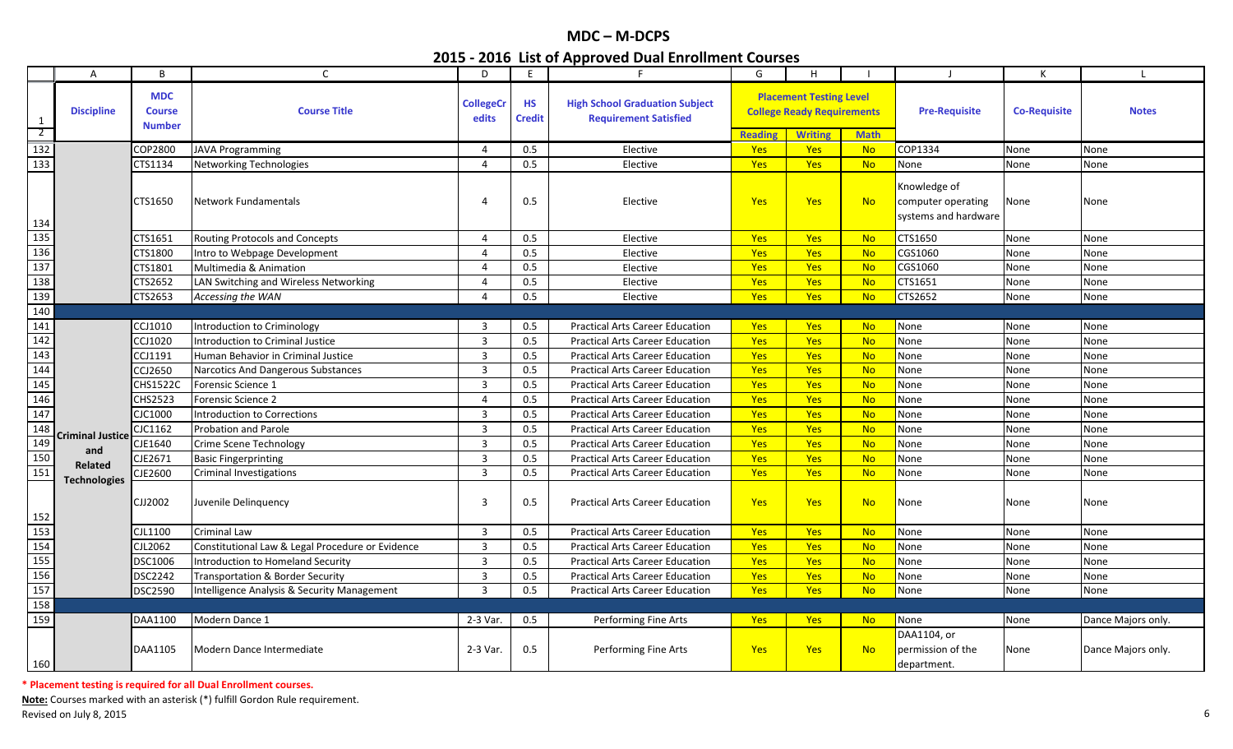|                  | $\mathsf{A}$        | B                                            | C                                                | D                         | E.                         | F.                                                                    | G              | H.                                                                  |             |                                                            | К                   |                    |
|------------------|---------------------|----------------------------------------------|--------------------------------------------------|---------------------------|----------------------------|-----------------------------------------------------------------------|----------------|---------------------------------------------------------------------|-------------|------------------------------------------------------------|---------------------|--------------------|
| 1                | <b>Discipline</b>   | <b>MDC</b><br><b>Course</b><br><b>Number</b> | <b>Course Title</b>                              | <b>CollegeCr</b><br>edits | <b>HS</b><br><b>Credit</b> | <b>High School Graduation Subject</b><br><b>Requirement Satisfied</b> |                | <b>Placement Testing Level</b><br><b>College Ready Requirements</b> |             | <b>Pre-Requisite</b>                                       | <b>Co-Requisite</b> | <b>Notes</b>       |
| $\overline{2}$   |                     |                                              |                                                  |                           |                            |                                                                       | <b>Reading</b> | <b>Writing</b>                                                      | <b>Math</b> |                                                            |                     |                    |
| $\overline{132}$ |                     | COP2800                                      | <b>JAVA Programming</b>                          | $\overline{4}$            | 0.5                        | Elective                                                              | Yes            | Yes                                                                 | <b>No</b>   | COP1334                                                    | None                | None               |
| 133              |                     | CTS1134                                      | Networking Technologies                          | $\overline{4}$            | 0.5                        | Elective                                                              | <b>Yes</b>     | <b>Yes</b>                                                          | <b>No</b>   | None                                                       | None                | None               |
| 134              |                     | CTS1650                                      | <b>Network Fundamentals</b>                      | 4                         | 0.5                        | Elective                                                              | Yes            | Yes                                                                 | <b>No</b>   | Knowledge of<br>computer operating<br>systems and hardware | None                | None               |
| 135              |                     | CTS1651                                      | Routing Protocols and Concepts                   | 4                         | 0.5                        | Elective                                                              | Yes            | <b>Yes</b>                                                          | <b>No</b>   | CTS1650                                                    | None                | None               |
| 136              |                     | CTS1800                                      | Intro to Webpage Development                     | $\overline{4}$            | 0.5                        | Elective                                                              | <b>Yes</b>     | <b>Yes</b>                                                          | <b>No</b>   | CGS1060                                                    | None                | None               |
| 137              |                     | CTS1801                                      | <b>Multimedia &amp; Animation</b>                | $\overline{4}$            | 0.5                        | Elective                                                              | Yes            | Yes                                                                 | <b>No</b>   | CGS1060                                                    | None                | None               |
| 138              |                     | CTS2652                                      | LAN Switching and Wireless Networking            | $\overline{4}$            | 0.5                        | Elective                                                              | <b>Yes</b>     | <b>Yes</b>                                                          | <b>No</b>   | CTS1651                                                    | None                | None               |
| 139              |                     | CTS2653                                      | Accessing the WAN                                | 4                         | 0.5                        | Elective                                                              | <b>Yes</b>     | <b>Yes</b>                                                          | <b>No</b>   | CTS2652                                                    | None                | None               |
| 140              |                     |                                              |                                                  |                           |                            |                                                                       |                |                                                                     |             |                                                            |                     |                    |
| 141              |                     | CCJ1010                                      | Introduction to Criminology                      | 3                         | 0.5                        | <b>Practical Arts Career Education</b>                                | <b>Yes</b>     | <b>Yes</b>                                                          | <b>No</b>   | None                                                       | None                | None               |
| 142              |                     | CCJ1020                                      | Introduction to Criminal Justice                 | $\overline{3}$            | 0.5                        | <b>Practical Arts Career Education</b>                                | Yes            | Yes                                                                 | <b>No</b>   | None                                                       | None                | None               |
| 143              |                     | CCJ1191                                      | Human Behavior in Criminal Justice               | $\overline{3}$            | 0.5                        | <b>Practical Arts Career Education</b>                                | <b>Yes</b>     | <b>Yes</b>                                                          | <b>No</b>   | None                                                       | None                | None               |
| 144              |                     | CCJ2650                                      | Narcotics And Dangerous Substances               | 3                         | 0.5                        | <b>Practical Arts Career Education</b>                                | <b>Yes</b>     | Yes                                                                 | <b>No</b>   | None                                                       | None                | None               |
| 145              |                     | CHS1522C                                     | Forensic Science 1                               | 3                         | 0.5                        | <b>Practical Arts Career Education</b>                                | Yes            | Yes                                                                 | <b>No</b>   | None                                                       | None                | None               |
| 146              |                     | <b>CHS2523</b>                               | <b>Forensic Science 2</b>                        | 4                         | 0.5                        | <b>Practical Arts Career Education</b>                                | Yes            | <b>Yes</b>                                                          | <b>No</b>   | None                                                       | None                | None               |
| 147              |                     | CJC1000                                      | Introduction to Corrections                      | $\mathbf{3}$              | 0.5                        | <b>Practical Arts Career Education</b>                                | Yes            | <b>Yes</b>                                                          | <b>No</b>   | None                                                       | None                | None               |
| 148              |                     | CJC1162                                      | Probation and Parole                             | $\overline{3}$            | 0.5                        | <b>Practical Arts Career Education</b>                                | <b>Yes</b>     | <b>Yes</b>                                                          | <b>No</b>   | None                                                       | None                | None               |
| 149              | Criminal Justice    | CJE1640                                      | Crime Scene Technology                           | $\overline{3}$            | 0.5                        | <b>Practical Arts Career Education</b>                                | <b>Yes</b>     | <b>Yes</b>                                                          | <b>No</b>   | None                                                       | None                | None               |
| 150              | and                 | CJE2671                                      | <b>Basic Fingerprinting</b>                      | 3                         | 0.5                        | <b>Practical Arts Career Education</b>                                | Yes            | Yes                                                                 | <b>No</b>   | None                                                       | None                | None               |
| 151              | Related             | CJE2600                                      | <b>Criminal Investigations</b>                   | $\overline{3}$            | 0.5                        | <b>Practical Arts Career Education</b>                                | <b>Yes</b>     | <b>Yes</b>                                                          | <b>No</b>   | None                                                       | None                | None               |
| 152              | <b>Technologies</b> | CJJ2002                                      | Juvenile Delinquency                             | 3                         | 0.5                        | <b>Practical Arts Career Education</b>                                | <b>Yes</b>     | Yes                                                                 | <b>No</b>   | None                                                       | None                | None               |
| 153              |                     | CJL1100                                      | <b>Criminal Law</b>                              | $\overline{3}$            | 0.5                        | <b>Practical Arts Career Education</b>                                | Yes            | Yes                                                                 | <b>No</b>   | None                                                       | None                | None               |
| 154              |                     | CJL2062                                      | Constitutional Law & Legal Procedure or Evidence | 3                         | 0.5                        | <b>Practical Arts Career Education</b>                                | Yes            | <b>Yes</b>                                                          | <b>No</b>   | None                                                       | None                | None               |
| 155              |                     | DSC1006                                      | <b>Introduction to Homeland Security</b>         | 3                         | 0.5                        | <b>Practical Arts Career Education</b>                                | Yes            | <b>Yes</b>                                                          | <b>No</b>   | None                                                       | None                | None               |
| 156              |                     | DSC2242                                      | <b>Transportation &amp; Border Security</b>      | $\mathbf{3}$              | 0.5                        | <b>Practical Arts Career Education</b>                                | Yes            | <b>Yes</b>                                                          | <b>No</b>   | None                                                       | None                | None               |
| 157              |                     | DSC2590                                      | Intelligence Analysis & Security Management      | $\overline{3}$            | 0.5                        | <b>Practical Arts Career Education</b>                                | Yes            | <b>Yes</b>                                                          | <b>No</b>   | None                                                       | None                | None               |
| 158              |                     |                                              |                                                  |                           |                            |                                                                       |                |                                                                     |             |                                                            |                     |                    |
| 159              |                     | DAA1100                                      | Modern Dance 1                                   | 2-3 Var.                  | 0.5                        | Performing Fine Arts                                                  | <b>Yes</b>     | <b>Yes</b>                                                          | <b>No</b>   | None                                                       | None                | Dance Majors only. |
| 160              |                     | DAA1105                                      | Modern Dance Intermediate                        | 2-3 Var.                  | 0.5                        | Performing Fine Arts                                                  | <b>Yes</b>     | <b>Yes</b>                                                          | <b>No</b>   | DAA1104, or<br>permission of the<br>department.            | None                | Dance Majors only. |

**\* Placement testing is required for all Dual Enrollment courses.**

**Note:** Courses marked with an asterisk (\*) fulfill Gordon Rule requirement.

Revised on July 8, 2015 **6** and the set of the set of the set of the set of the set of the set of the set of the set of the set of the set of the set of the set of the set of the set of the set of the set of the set of the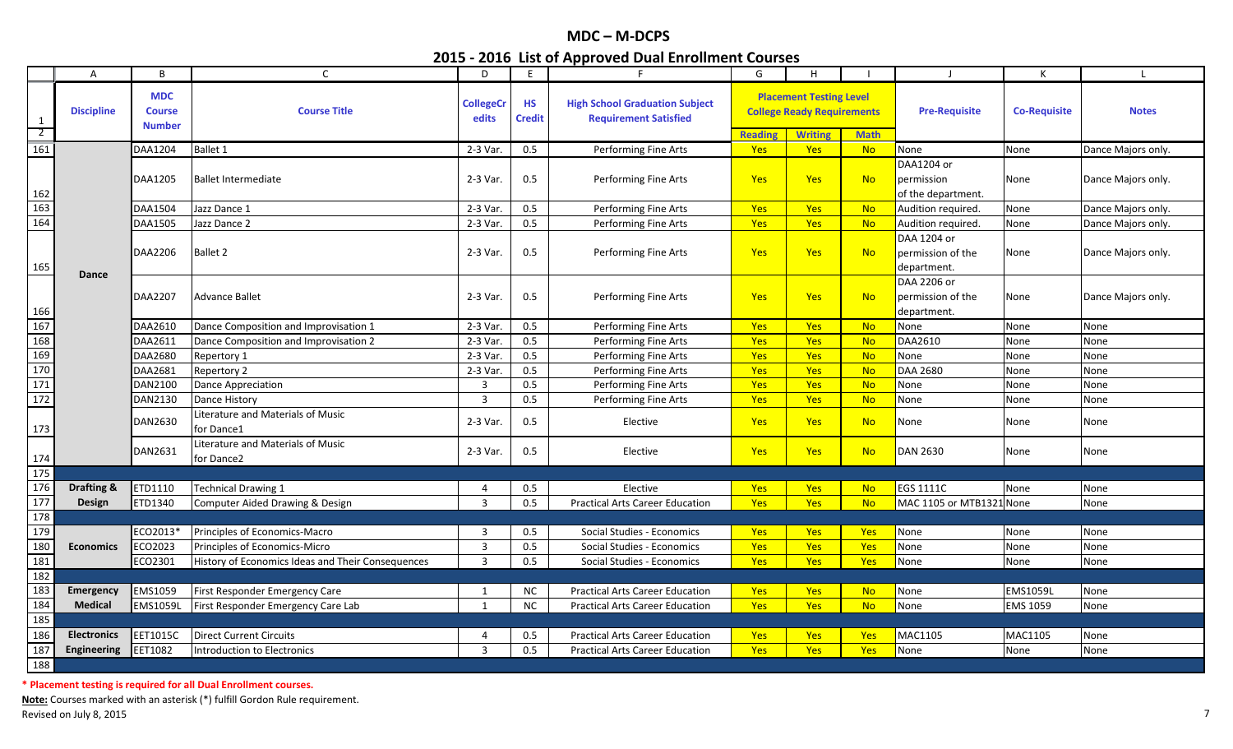|                                                                                                                    | $\overline{A}$     | B                                            | $\mathsf{C}$                                      | D                         | E                          | F                                                                     | G              | H                                                                                     |             | $\perp$                                         | К                   | $\mathbf{I}$       |
|--------------------------------------------------------------------------------------------------------------------|--------------------|----------------------------------------------|---------------------------------------------------|---------------------------|----------------------------|-----------------------------------------------------------------------|----------------|---------------------------------------------------------------------------------------|-------------|-------------------------------------------------|---------------------|--------------------|
| 1<br>$\overline{2}$                                                                                                | <b>Discipline</b>  | <b>MDC</b><br><b>Course</b><br><b>Number</b> | <b>Course Title</b>                               | <b>CollegeCr</b><br>edits | <b>HS</b><br><b>Credit</b> | <b>High School Graduation Subject</b><br><b>Requirement Satisfied</b> | <b>Reading</b> | <b>Placement Testing Level</b><br><b>College Ready Requirements</b><br><b>Writing</b> | <b>Math</b> | <b>Pre-Requisite</b>                            | <b>Co-Requisite</b> | <b>Notes</b>       |
| 161                                                                                                                |                    | DAA1204                                      | <b>Ballet 1</b>                                   | 2-3 Var.                  | 0.5                        | Performing Fine Arts                                                  | Yes            | Yes                                                                                   | <b>No</b>   | None                                            | None                | Dance Majors only. |
|                                                                                                                    |                    |                                              |                                                   |                           |                            |                                                                       |                |                                                                                       |             | DAA1204 or                                      |                     |                    |
|                                                                                                                    |                    | DAA1205                                      | <b>Ballet Intermediate</b>                        | 2-3 Var.                  | 0.5                        | Performing Fine Arts                                                  | <b>Yes</b>     | <b>Yes</b>                                                                            | <b>No</b>   | permission<br>of the department.                | None                | Dance Majors only. |
|                                                                                                                    |                    | DAA1504                                      | Jazz Dance 1                                      | 2-3 Var.                  | 0.5                        | Performing Fine Arts                                                  | <b>Yes</b>     | Yes                                                                                   | <b>No</b>   | Audition required.                              | None                | Dance Majors only. |
| $\begin{array}{r} 162 \\ \hline 163 \\ \hline 164 \end{array}$                                                     |                    | DAA1505                                      | Jazz Dance 2                                      | 2-3 Var.                  | 0.5                        | Performing Fine Arts                                                  | Yes            | <b>Yes</b>                                                                            | <b>No</b>   | Audition required.                              | None                | Dance Majors only. |
| 165                                                                                                                | <b>Dance</b>       | DAA2206                                      | Ballet 2                                          | 2-3 Var.                  | 0.5                        | Performing Fine Arts                                                  | Yes            | <b>Yes</b>                                                                            | <b>No</b>   | DAA 1204 or<br>permission of the<br>department. | None                | Dance Majors only. |
|                                                                                                                    |                    | DAA2207                                      | Advance Ballet                                    | 2-3 Var.                  | 0.5                        | Performing Fine Arts                                                  | <b>Yes</b>     | <b>Yes</b>                                                                            | <b>No</b>   | DAA 2206 or<br>permission of the<br>department. | None                | Dance Majors only. |
|                                                                                                                    |                    | DAA2610                                      | Dance Composition and Improvisation 1             | 2-3 Var.                  | 0.5                        | Performing Fine Arts                                                  | Yes            | Yes                                                                                   | <b>No</b>   | None                                            | None                | None               |
| $\begin{array}{r} 166 \\ \hline 167 \\ \hline 168 \\ \hline 169 \\ \hline 170 \\ \hline 171 \\ \hline \end{array}$ |                    | DAA2611                                      | Dance Composition and Improvisation 2             | 2-3 Var.                  | 0.5                        | Performing Fine Arts                                                  | <b>Yes</b>     | <b>Yes</b>                                                                            | <b>No</b>   | DAA2610                                         | None                | None               |
|                                                                                                                    |                    | DAA2680                                      | Repertory 1                                       | 2-3 Var.                  | 0.5                        | Performing Fine Arts                                                  | Yes            | Yes                                                                                   | <b>No</b>   | None                                            | None                | None               |
|                                                                                                                    |                    | DAA2681                                      | Repertory 2                                       | 2-3 Var.                  | 0.5                        | Performing Fine Arts                                                  | Yes            | <b>Yes</b>                                                                            | <b>No</b>   | DAA 2680                                        | None                | None               |
|                                                                                                                    |                    | DAN2100                                      | <b>Dance Appreciation</b>                         | 3                         | 0.5                        | Performing Fine Arts                                                  | Yes            | <b>Yes</b>                                                                            | <b>No</b>   | None                                            | None                | None               |
| 172                                                                                                                |                    | DAN2130                                      | Dance History                                     | $\overline{3}$            | 0.5                        | Performing Fine Arts                                                  | Yes            | Yes                                                                                   | <b>No</b>   | None                                            | None                | None               |
| 173                                                                                                                |                    | DAN2630                                      | Literature and Materials of Music<br>for Dance1   | 2-3 Var.                  | 0.5                        | Elective                                                              | <b>Yes</b>     | Yes                                                                                   | <b>No</b>   | None                                            | None                | None               |
| 174                                                                                                                |                    | DAN2631                                      | iterature and Materials of Music.<br>for Dance2   | 2-3 Var.                  | 0.5                        | Elective                                                              | <b>Yes</b>     | <b>Yes</b>                                                                            | <b>No</b>   | DAN 2630                                        | None                | None               |
| 175                                                                                                                |                    |                                              |                                                   |                           |                            |                                                                       |                |                                                                                       |             |                                                 |                     |                    |
| 176                                                                                                                | Drafting &         | ETD1110                                      | <b>Technical Drawing 1</b>                        | 4                         | 0.5                        | Elective                                                              | <b>Yes</b>     | Yes                                                                                   | <b>No</b>   | EGS 1111C                                       | None                | None               |
| 177                                                                                                                | Design             | ETD1340                                      | Computer Aided Drawing & Design                   | $\overline{3}$            | 0.5                        | <b>Practical Arts Career Education</b>                                | <b>Yes</b>     | <b>Yes</b>                                                                            | <b>No</b>   | MAC 1105 or MTB1321 None                        |                     | None               |
| 178                                                                                                                |                    |                                              |                                                   |                           |                            |                                                                       |                |                                                                                       |             |                                                 |                     |                    |
| 179                                                                                                                |                    | ECO2013*                                     | Principles of Economics-Macro                     | 3                         | 0.5                        | Social Studies - Economics                                            | Yes            | Yes                                                                                   | Yes         | None                                            | None                | None               |
| 180                                                                                                                | <b>Economics</b>   | ECO2023                                      | Principles of Economics-Micro                     | 3                         | 0.5                        | Social Studies - Economics                                            | Yes            | Yes                                                                                   | Yes         | None                                            | None                | None               |
| 181                                                                                                                |                    | ECO2301                                      | History of Economics Ideas and Their Consequences | 3                         | 0.5                        | Social Studies - Economics                                            | <b>Yes</b>     | <b>Yes</b>                                                                            | <b>Yes</b>  | None                                            | None                | None               |
| 182                                                                                                                |                    |                                              |                                                   |                           |                            |                                                                       |                |                                                                                       |             |                                                 |                     |                    |
| 183                                                                                                                | <b>Emergency</b>   | EMS1059                                      | First Responder Emergency Care                    | $\mathbf{1}$              | <b>NC</b>                  | <b>Practical Arts Career Education</b>                                | <b>Yes</b>     | <b>Yes</b>                                                                            | <b>No</b>   | None                                            | <b>EMS1059L</b>     | None               |
| 184                                                                                                                | <b>Medical</b>     | EMS1059L                                     | First Responder Emergency Care Lab                | 1                         | <b>NC</b>                  | <b>Practical Arts Career Education</b>                                | Yes            | Yes                                                                                   | <b>No</b>   | None                                            | <b>EMS 1059</b>     | None               |
| 185                                                                                                                |                    |                                              |                                                   |                           |                            |                                                                       |                |                                                                                       |             |                                                 |                     |                    |
| 186                                                                                                                | <b>Electronics</b> | EET1015C                                     | <b>Direct Current Circuits</b>                    | 4                         | 0.5                        | <b>Practical Arts Career Education</b>                                | <b>Yes</b>     | <b>Yes</b>                                                                            | <b>Yes</b>  | MAC1105                                         | MAC1105             | None               |
| 187                                                                                                                | Engineering        | EET1082                                      | Introduction to Electronics                       | $\overline{3}$            | 0.5                        | <b>Practical Arts Career Education</b>                                | Yes            | <b>Yes</b>                                                                            | Yes         | None                                            | None                | None               |
| 188                                                                                                                |                    |                                              |                                                   |                           |                            |                                                                       |                |                                                                                       |             |                                                 |                     |                    |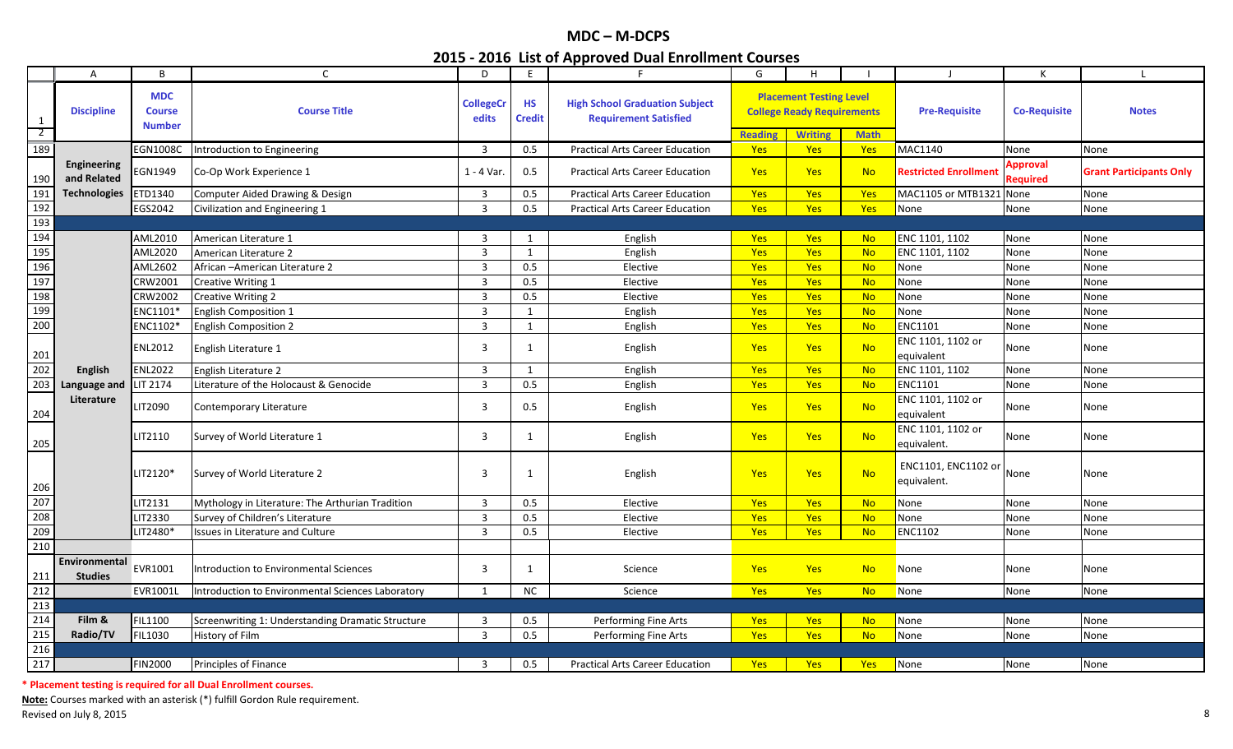|                     | $\mathsf{A}$                    | B                                            | $\mathsf{C}$                                      | D                         | E                          | F                                                                     | G                     | H                                                                                     |             | $\perp$                            | К                                  | $\mathsf{L}$                   |
|---------------------|---------------------------------|----------------------------------------------|---------------------------------------------------|---------------------------|----------------------------|-----------------------------------------------------------------------|-----------------------|---------------------------------------------------------------------------------------|-------------|------------------------------------|------------------------------------|--------------------------------|
| 1<br>$\overline{2}$ | <b>Discipline</b>               | <b>MDC</b><br><b>Course</b><br><b>Number</b> | <b>Course Title</b>                               | <b>CollegeCr</b><br>edits | <b>HS</b><br><b>Credit</b> | <b>High School Graduation Subject</b><br><b>Requirement Satisfied</b> |                       | <b>Placement Testing Level</b><br><b>College Ready Requirements</b><br><b>Writing</b> | <b>Math</b> | <b>Pre-Requisite</b>               | <b>Co-Requisite</b>                | <b>Notes</b>                   |
| 189                 |                                 | <b>EGN1008C</b>                              |                                                   | 3                         | 0.5                        | <b>Practical Arts Career Education</b>                                | <b>Reading</b><br>Yes | <b>Yes</b>                                                                            | Yes         | MAC1140                            |                                    |                                |
|                     |                                 |                                              | Introduction to Engineering                       |                           |                            |                                                                       |                       |                                                                                       |             |                                    | None                               | None                           |
| 190                 | Engineering<br>and Related      | EGN1949                                      | Co-Op Work Experience 1                           | 1 - 4 Var.                | 0.5                        | <b>Practical Arts Career Education</b>                                | <b>Yes</b>            | <b>Yes</b>                                                                            | <b>No</b>   | <b>Restricted Enrollmen</b>        | <b>Approval</b><br><b>Required</b> | <b>Grant Participants Only</b> |
| 191                 | <b>Technologies</b>             | ETD1340                                      | Computer Aided Drawing & Design                   | 3                         | 0.5                        | <b>Practical Arts Career Education</b>                                | Yes                   | <b>Yes</b>                                                                            | Yes         | MAC1105 or MTB1321                 | None                               | None                           |
| 192                 |                                 | EGS2042                                      | Civilization and Engineering 1                    | $\overline{3}$            | 0.5                        | <b>Practical Arts Career Education</b>                                | Yes                   | Yes                                                                                   | Yes         | None                               | None                               | None                           |
| 193                 |                                 |                                              |                                                   |                           |                            |                                                                       |                       |                                                                                       |             |                                    |                                    |                                |
| 194                 |                                 | AML2010                                      | American Literature 1                             | 3                         | 1                          | English                                                               | Yes                   | Yes                                                                                   | <b>No</b>   | ENC 1101, 1102                     | None                               | None                           |
| 195                 |                                 | AML2020                                      | American Literature 2                             | $\overline{3}$            | 1                          | English                                                               | Yes                   | Yes                                                                                   | <b>No</b>   | ENC 1101, 1102                     | None                               | None                           |
| 196                 |                                 | AML2602                                      | African - American Literature 2                   | $\overline{3}$            | 0.5                        | Elective                                                              | Yes                   | Yes                                                                                   | <b>No</b>   | None                               | None                               | None                           |
| 197                 |                                 | CRW2001                                      | Creative Writing 1                                | $\overline{3}$            | 0.5                        | Elective                                                              | Yes                   | Yes                                                                                   | <b>No</b>   | None                               | None                               | None                           |
| 198                 |                                 | CRW2002                                      | <b>Creative Writing 2</b>                         | $\overline{3}$            | 0.5                        | Elective                                                              | Yes                   | <b>Yes</b>                                                                            | <b>No</b>   | None                               | None                               | None                           |
| 199                 |                                 | ENC1101*                                     | <b>English Composition 1</b>                      | $\overline{3}$            | 1                          | English                                                               | Yes                   | Yes                                                                                   | <b>No</b>   | None                               | None                               | None                           |
| 200                 |                                 | ENC1102*                                     | <b>English Composition 2</b>                      | 3                         | 1                          | English                                                               | Yes                   | Yes                                                                                   | <b>No</b>   | ENC1101                            | None                               | None                           |
| 201                 |                                 | ENL2012                                      | English Literature 1                              | 3                         | 1                          | English                                                               | Yes                   | <b>Yes</b>                                                                            | <b>No</b>   | ENC 1101, 1102 or<br>equivalent    | None                               | None                           |
| 202                 | <b>English</b>                  | <b>ENL2022</b>                               | English Literature 2                              | 3                         | 1                          | English                                                               | Yes                   | <b>Yes</b>                                                                            | <b>No</b>   | ENC 1101, 1102                     | None                               | None                           |
| 203                 | Language and                    | LIT 2174                                     | Literature of the Holocaust & Genocide            | $\overline{3}$            | 0.5                        | English                                                               | <b>Yes</b>            | Yes                                                                                   | No          | <b>ENC1101</b>                     | None                               | None                           |
| 204                 | Literature                      | LIT2090                                      | Contemporary Literature                           | 3                         | 0.5                        | English                                                               | <b>Yes</b>            | <b>Yes</b>                                                                            | <b>No</b>   | ENC 1101, 1102 or<br>equivalent    | None                               | None                           |
| 205                 |                                 | LIT2110                                      | Survey of World Literature 1                      | 3                         | 1                          | English                                                               | Yes                   | Yes                                                                                   | <b>No</b>   | ENC 1101, 1102 or<br>equivalent.   | None                               | None                           |
| 206                 |                                 | LIT2120*                                     | Survey of World Literature 2                      | 3                         | 1                          | English                                                               | Yes                   | <b>Yes</b>                                                                            | <b>No</b>   | ENC1101, ENC1102 or<br>equivalent. | None                               | None                           |
| 207                 |                                 | LIT2131                                      | Mythology in Literature: The Arthurian Tradition  | 3                         | 0.5                        | Elective                                                              | Yes                   | <b>Yes</b>                                                                            | <b>No</b>   | None                               | None                               | None                           |
| 208                 |                                 | LIT2330                                      | Survey of Children's Literature                   | 3                         | 0.5                        | Elective                                                              | <b>Yes</b>            | <b>Yes</b>                                                                            | <b>No</b>   | None                               | None                               | None                           |
| 209                 |                                 | LIT2480*                                     | Issues in Literature and Culture                  | $\overline{3}$            | 0.5                        | Elective                                                              | Yes                   | Yes                                                                                   | <b>No</b>   | <b>ENC1102</b>                     | None                               | None                           |
| 210                 |                                 |                                              |                                                   |                           |                            |                                                                       |                       |                                                                                       |             |                                    |                                    |                                |
| 211                 | Environmental<br><b>Studies</b> | EVR1001                                      | <b>Introduction to Environmental Sciences</b>     | 3                         | 1                          | Science                                                               | <b>Yes</b>            | Yes                                                                                   | <b>No</b>   | None                               | None                               | None                           |
| 212                 |                                 | EVR1001L                                     | Introduction to Environmental Sciences Laboratory | $\mathbf{1}$              | NC                         | Science                                                               | Yes                   | <b>Yes</b>                                                                            | <b>No</b>   | None                               | None                               | None                           |
| 213                 |                                 |                                              |                                                   |                           |                            |                                                                       |                       |                                                                                       |             |                                    |                                    |                                |
| 214                 | Film &                          | <b>FIL1100</b>                               | Screenwriting 1: Understanding Dramatic Structure | 3                         | 0.5                        | Performing Fine Arts                                                  | <b>Yes</b>            | <b>Yes</b>                                                                            | <b>No</b>   | None                               | None                               | None                           |
| 215                 | Radio/TV                        | <b>FIL1030</b>                               | History of Film                                   | $\overline{3}$            | 0.5                        | Performing Fine Arts                                                  | Yes                   | <b>Yes</b>                                                                            | <b>No</b>   | None                               | None                               | None                           |
| 216                 |                                 |                                              |                                                   |                           |                            |                                                                       |                       |                                                                                       |             |                                    |                                    |                                |
| 217                 |                                 | <b>FIN2000</b>                               | Principles of Finance                             | 3                         | 0.5                        | <b>Practical Arts Career Education</b>                                | <b>Yes</b>            | <b>Yes</b>                                                                            | <b>Yes</b>  | None                               | None                               | None                           |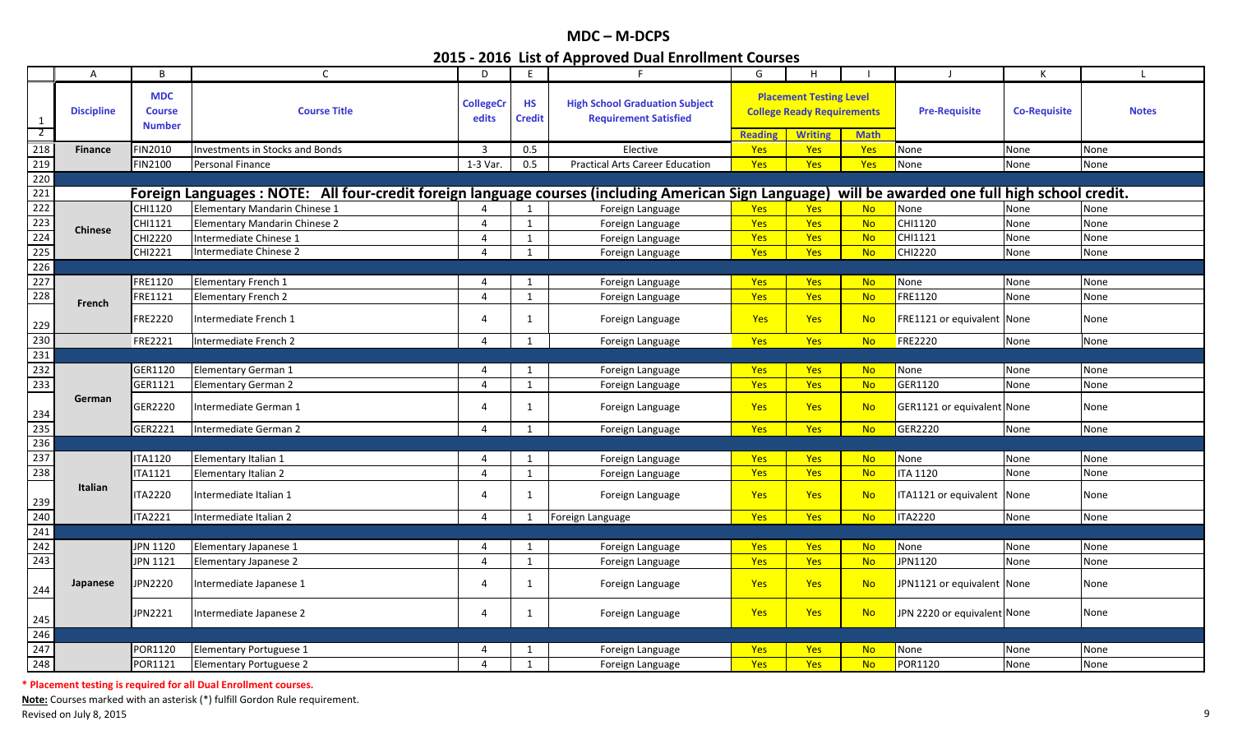|                                           | $\overline{A}$    | B                                     | $\mathsf{C}$                                                                                         | D                         | E                          | F                                                                     | G              | H                                                                                     |             | $\perp$                                      | К                   |              |
|-------------------------------------------|-------------------|---------------------------------------|------------------------------------------------------------------------------------------------------|---------------------------|----------------------------|-----------------------------------------------------------------------|----------------|---------------------------------------------------------------------------------------|-------------|----------------------------------------------|---------------------|--------------|
| $\mathbf{1}$<br>$\overline{2}$            | <b>Discipline</b> | <b>MDC</b><br>Course<br><b>Number</b> | <b>Course Title</b>                                                                                  | <b>CollegeCr</b><br>edits | <b>HS</b><br><b>Credit</b> | <b>High School Graduation Subject</b><br><b>Requirement Satisfied</b> | <b>Reading</b> | <b>Placement Testing Level</b><br><b>College Ready Requirements</b><br><b>Writing</b> | <b>Math</b> | <b>Pre-Requisite</b>                         | <b>Co-Requisite</b> | <b>Notes</b> |
| 218                                       | <b>Finance</b>    | <b>FIN2010</b>                        | nvestments in Stocks and Bonds                                                                       | 3                         | 0.5                        | Elective                                                              | Yes            | Yes                                                                                   | Yes         | None                                         | None                | None         |
| 219                                       |                   | FIN2100                               | Personal Finance                                                                                     | 1-3 Var.                  | 0.5                        | <b>Practical Arts Career Education</b>                                | <b>Yes</b>     | <b>Yes</b>                                                                            | <b>Yes</b>  | None                                         | None                | None         |
| 220                                       |                   |                                       |                                                                                                      |                           |                            |                                                                       |                |                                                                                       |             |                                              |                     |              |
| 221                                       |                   |                                       | Foreign Languages: NOTE: All four-credit foreign language courses (including American Sign Language) |                           |                            |                                                                       |                |                                                                                       |             | will be awarded one full high school credit. |                     |              |
| 222                                       |                   | CHI1120                               | Elementary Mandarin Chinese 1                                                                        |                           |                            | Foreign Language                                                      | <b>Yes</b>     | <b>Yes</b>                                                                            | <b>No</b>   | None                                         | None                | None         |
| 223                                       |                   | CHI1121                               | Elementary Mandarin Chinese 2                                                                        | $\overline{4}$            | $\mathbf{1}$               | Foreign Language                                                      | Yes            | Yes                                                                                   | <b>No</b>   | CHI1120                                      | None                | None         |
|                                           | <b>Chinese</b>    | CHI2220                               | ntermediate Chinese 1                                                                                | 4                         | $\mathbf{1}$               | Foreign Language                                                      | Yes            | Yes                                                                                   | <b>No</b>   | CHI1121                                      | None                | None         |
| $\begin{array}{r} 224 \\ 225 \end{array}$ |                   | CHI2221                               | Intermediate Chinese 2                                                                               | $\overline{4}$            | $\mathbf{1}$               | Foreign Language                                                      | <b>Yes</b>     | Yes                                                                                   | <b>No</b>   | CHI2220                                      | None                | None         |
| 226                                       |                   |                                       |                                                                                                      |                           |                            |                                                                       |                |                                                                                       |             |                                              |                     |              |
| 227                                       |                   | FRE1120                               | <b>Elementary French 1</b>                                                                           | 4                         | -1                         | Foreign Language                                                      | <b>Yes</b>     | <b>Yes</b>                                                                            | <b>No</b>   | None                                         | None                | None         |
| 228                                       | French            | FRE1121                               | <b>Elementary French 2</b>                                                                           | $\overline{4}$            | $\mathbf{1}$               | Foreign Language                                                      | <b>Yes</b>     | Yes                                                                                   | <b>No</b>   | FRE1120                                      | None                | None         |
| 229                                       |                   | <b>FRE2220</b>                        | Intermediate French 1                                                                                | 4                         | 1                          | Foreign Language                                                      | Yes            | <b>Yes</b>                                                                            | <b>No</b>   | FRE1121 or equivalent None                   |                     | None         |
| 230                                       |                   | FRE2221                               | Intermediate French 2                                                                                | $\overline{4}$            | 1                          | Foreign Language                                                      | <b>Yes</b>     | Yes                                                                                   | <b>No</b>   | <b>FRE2220</b>                               | None                | None         |
| 231                                       |                   |                                       |                                                                                                      |                           |                            |                                                                       |                |                                                                                       |             |                                              |                     |              |
| 232                                       |                   | GER1120                               | Elementary German 1                                                                                  | $\Delta$                  | $\mathbf 1$                | Foreign Language                                                      | Yes            | Yes                                                                                   | <b>No</b>   | None                                         | None                | None         |
| 233                                       |                   | GER1121                               | <b>Elementary German 2</b>                                                                           | $\overline{4}$            | 1                          | Foreign Language                                                      | Yes            | Yes                                                                                   | <b>No</b>   | GER1120                                      | None                | None         |
| 234                                       | German            | GER2220                               | Intermediate German 1                                                                                | 4                         | -1                         | Foreign Language                                                      | <b>Yes</b>     | <b>Yes</b>                                                                            | <b>No</b>   | GER1121 or equivalent None                   |                     | None         |
| 235                                       |                   | GER2221                               | Intermediate German 2                                                                                | $\overline{4}$            | 1                          | Foreign Language                                                      | <b>Yes</b>     | Yes                                                                                   | <b>No</b>   | GER2220                                      | None                | None         |
| 236                                       |                   |                                       |                                                                                                      |                           |                            |                                                                       |                |                                                                                       |             |                                              |                     |              |
| 237                                       |                   | <b>ITA1120</b>                        | Elementary Italian 1                                                                                 | 4                         | $\mathbf 1$                | Foreign Language                                                      | <b>Yes</b>     | <b>Yes</b>                                                                            | <b>No</b>   | None                                         | None                | None         |
| 238                                       |                   | <b>ITA1121</b>                        | Elementary Italian 2                                                                                 | $\overline{4}$            | $\mathbf{1}$               | Foreign Language                                                      | <b>Yes</b>     | Yes                                                                                   | <b>No</b>   | <b>ITA 1120</b>                              | None                | None         |
| 239                                       | <b>Italian</b>    | <b>ITA2220</b>                        | Intermediate Italian 1                                                                               | 4                         | 1                          | Foreign Language                                                      | <b>Yes</b>     | Yes                                                                                   | <b>No</b>   | TA1121 or equivalent None                    |                     | None         |
| 240                                       |                   | <b>ITA2221</b>                        | Intermediate Italian 2                                                                               | $\overline{4}$            |                            | Foreign Language                                                      | Yes            | Yes                                                                                   | <b>No</b>   | <b>ITA2220</b>                               | None                | None         |
| 241                                       |                   |                                       |                                                                                                      |                           |                            |                                                                       |                |                                                                                       |             |                                              |                     |              |
| 242                                       |                   | JPN 1120                              | Elementary Japanese 1                                                                                | $\Delta$                  |                            | Foreign Language                                                      | <b>Yes</b>     | <b>Yes</b>                                                                            | <b>No</b>   | None                                         | None                | None         |
| 243                                       |                   | <b>JPN 1121</b>                       | Elementary Japanese 2                                                                                | $\overline{4}$            | 1                          | Foreign Language                                                      | <b>Yes</b>     | Yes                                                                                   | <b>No</b>   | JPN1120                                      | None                | None         |
| 244                                       | Japanese          | JPN2220                               | Intermediate Japanese 1                                                                              | 4                         |                            | Foreign Language                                                      | Yes            | Yes                                                                                   | <b>No</b>   | JPN1121 or equivalent None                   |                     | None         |
| 245                                       |                   | JPN2221                               | Intermediate Japanese 2                                                                              | 4                         | 1                          | Foreign Language                                                      | Yes            | <b>Yes</b>                                                                            | <b>No</b>   | JPN 2220 or equivalent None                  |                     | None         |
| 246                                       |                   |                                       |                                                                                                      |                           |                            |                                                                       |                |                                                                                       |             |                                              |                     |              |
| 247                                       |                   | POR1120                               | Elementary Portuguese 1                                                                              | 4                         | -1                         | Foreign Language                                                      | <b>Yes</b>     | <b>Yes</b>                                                                            | <b>No</b>   | None                                         | None                | None         |
| 248                                       |                   | POR1121                               | <b>Elementary Portuguese 2</b>                                                                       | $\Delta$                  | $\mathbf{1}$               | Foreign Language                                                      | <b>Yes</b>     | Yes                                                                                   | <b>No</b>   | POR1120                                      | None                | None         |

**\* Placement testing is required for all Dual Enrollment courses.**

**Note:** Courses marked with an asterisk (\*) fulfill Gordon Rule requirement. Revised on July 8, 2015 **9**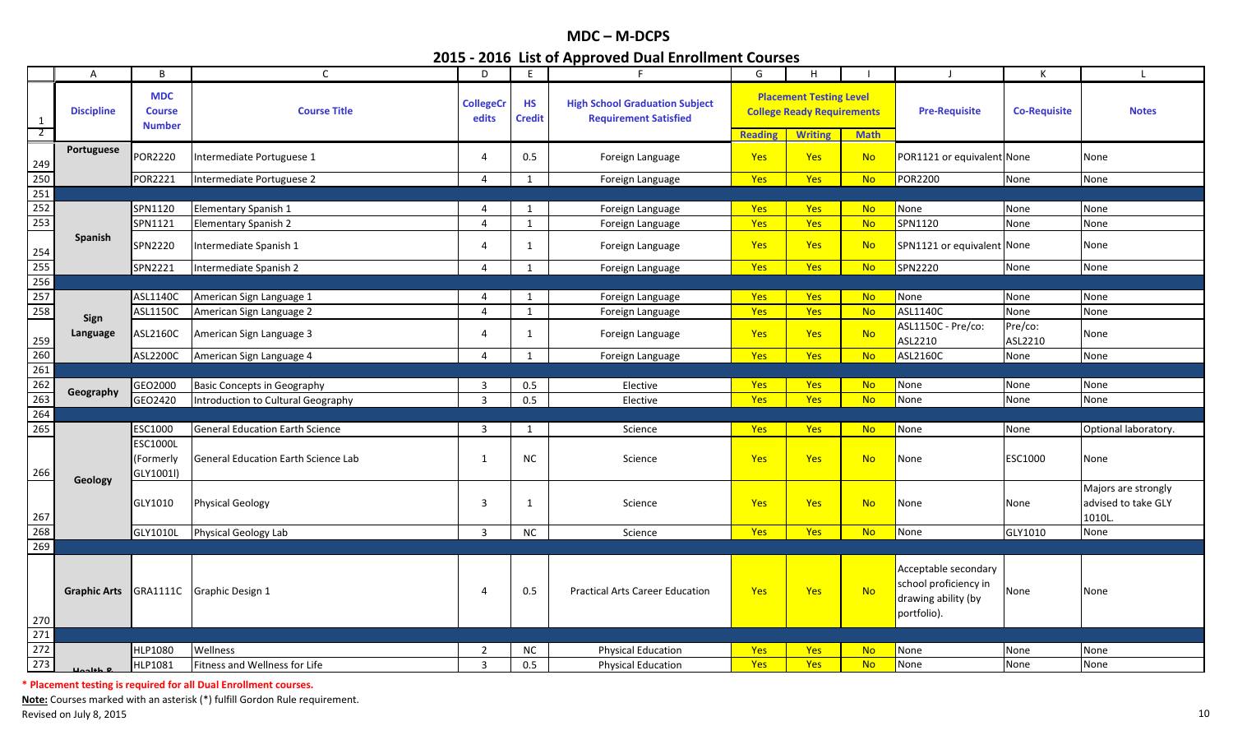|                                | $\mathsf{A}$        | B                                            | $\mathsf{C}$                               | D                         | E                          | F.                                                                    | G              | H                                                                                     |             | $\mathbf{I}$                                                                        | К                   | L.                                                   |
|--------------------------------|---------------------|----------------------------------------------|--------------------------------------------|---------------------------|----------------------------|-----------------------------------------------------------------------|----------------|---------------------------------------------------------------------------------------|-------------|-------------------------------------------------------------------------------------|---------------------|------------------------------------------------------|
| $\mathbf{1}$<br>$\overline{2}$ | <b>Discipline</b>   | <b>MDC</b><br><b>Course</b><br><b>Number</b> | <b>Course Title</b>                        | <b>CollegeCr</b><br>edits | <b>HS</b><br><b>Credit</b> | <b>High School Graduation Subject</b><br><b>Requirement Satisfied</b> | <b>Reading</b> | <b>Placement Testing Level</b><br><b>College Ready Requirements</b><br><b>Writing</b> | <b>Math</b> | <b>Pre-Requisite</b>                                                                | <b>Co-Requisite</b> | <b>Notes</b>                                         |
|                                | Portuguese          | POR2220                                      | Intermediate Portuguese 1                  | 4                         | 0.5                        | Foreign Language                                                      | Yes            | <b>Yes</b>                                                                            | <b>No</b>   | POR1121 or equivalent None                                                          |                     | None                                                 |
| $\frac{249}{250}$              |                     | POR2221                                      | Intermediate Portuguese 2                  | 4                         | 1                          | Foreign Language                                                      | <b>Yes</b>     | Yes                                                                                   | <b>No</b>   | POR2200                                                                             | None                | None                                                 |
| 251                            |                     |                                              |                                            |                           |                            |                                                                       |                |                                                                                       |             |                                                                                     |                     |                                                      |
| 252                            |                     | SPN1120                                      | Elementary Spanish 1                       | 4                         | 1                          | Foreign Language                                                      | <b>Yes</b>     | <b>Yes</b>                                                                            | <b>No</b>   | None                                                                                | None                | None                                                 |
| 253                            |                     | SPN1121                                      | <b>Elementary Spanish 2</b>                | 4                         | 1                          | Foreign Language                                                      | <b>Yes</b>     | <b>Yes</b>                                                                            | <b>No</b>   | SPN1120                                                                             | None                | None                                                 |
| 254                            | <b>Spanish</b>      | SPN2220                                      | Intermediate Spanish 1                     | 4                         | 1                          | Foreign Language                                                      | <b>Yes</b>     | <b>Yes</b>                                                                            | <b>No</b>   | SPN1121 or equivalent None                                                          |                     | None                                                 |
| 255                            |                     | SPN2221                                      | Intermediate Spanish 2                     | $\overline{4}$            | 1                          | Foreign Language                                                      | Yes            | Yes                                                                                   | <b>No</b>   | SPN2220                                                                             | None                | None                                                 |
| 256                            |                     |                                              |                                            |                           |                            |                                                                       |                |                                                                                       |             |                                                                                     |                     |                                                      |
| 257                            |                     | ASL1140C                                     | American Sign Language 1                   | 4                         | 1                          | Foreign Language                                                      | <b>Yes</b>     | <b>Yes</b>                                                                            | <b>No</b>   | None                                                                                | None                | None                                                 |
| 258                            |                     | ASL1150C                                     | American Sign Language 2                   | 4                         | 1                          | Foreign Language                                                      | Yes            | Yes                                                                                   | <b>No</b>   | ASL1140C                                                                            | None                | None                                                 |
| 259                            | Sign<br>Language    | ASL2160C                                     | American Sign Language 3                   | 4                         | 1                          | Foreign Language                                                      | <b>Yes</b>     | <b>Yes</b>                                                                            | <b>No</b>   | ASL1150C - Pre/co:<br>ASL2210                                                       | Pre/co:<br>ASL2210  | None                                                 |
|                                |                     | <b>ASL2200C</b>                              | American Sign Language 4                   | 4                         | $\mathbf{1}$               | Foreign Language                                                      | Yes            | Yes                                                                                   | <b>No</b>   | ASL2160C                                                                            | None                | None                                                 |
| $\frac{260}{261}$              |                     |                                              |                                            |                           |                            |                                                                       |                |                                                                                       |             |                                                                                     |                     |                                                      |
| 262                            |                     | GEO2000                                      | <b>Basic Concepts in Geography</b>         | 3                         | 0.5                        | Elective                                                              | Yes            | <b>Yes</b>                                                                            | <b>No</b>   | None                                                                                | None                | None                                                 |
| $\overline{263}$               | Geography           | GEO2420                                      | Introduction to Cultural Geography         | $\overline{3}$            | 0.5                        | Elective                                                              | <b>Yes</b>     | <b>Yes</b>                                                                            | <b>No</b>   | None                                                                                | None                | None                                                 |
| 264                            |                     |                                              |                                            |                           |                            |                                                                       |                |                                                                                       |             |                                                                                     |                     |                                                      |
| 265                            |                     | ESC1000                                      | <b>General Education Earth Science</b>     | 3                         | 1                          | Science                                                               | Yes            | <b>Yes</b>                                                                            | <b>No</b>   | Vone                                                                                | None                | Optional laboratory.                                 |
| 266                            | Geology             | ESC1000L<br>(Formerly<br>GLY1001l)           | <b>General Education Earth Science Lab</b> | $\mathbf{1}$              | <b>NC</b>                  | Science                                                               | Yes            | <b>Yes</b>                                                                            | <b>No</b>   | None                                                                                | ESC1000             | None                                                 |
| 267                            |                     | GLY1010                                      | <b>Physical Geology</b>                    | 3                         | 1                          | Science                                                               | Yes            | <b>Yes</b>                                                                            | <b>No</b>   | None                                                                                | None                | Majors are strongly<br>advised to take GLY<br>1010L. |
| 268                            |                     | GLY1010L                                     | <b>Physical Geology Lab</b>                | $\overline{3}$            | <b>NC</b>                  | Science                                                               | Yes            | Yes                                                                                   | <b>No</b>   | None                                                                                | GLY1010             | None                                                 |
| 269                            |                     |                                              |                                            |                           |                            |                                                                       |                |                                                                                       |             |                                                                                     |                     |                                                      |
| $\frac{270}{271}$              | <b>Graphic Arts</b> |                                              | GRA1111C Graphic Design 1                  | 4                         | 0.5                        | <b>Practical Arts Career Education</b>                                | Yes            | Yes                                                                                   | <b>No</b>   | Acceptable secondary<br>school proficiency in<br>drawing ability (by<br>portfolio). | None                | None                                                 |
|                                |                     |                                              |                                            |                           |                            |                                                                       |                |                                                                                       |             |                                                                                     |                     |                                                      |
| 272                            |                     | HLP1080                                      | Wellness                                   | $\overline{2}$            | <b>NC</b>                  | <b>Physical Education</b>                                             | Yes            | <b>Yes</b>                                                                            | <b>No</b>   | None                                                                                | None                | None                                                 |
| 273                            |                     | HLP1081                                      | Fitness and Wellness for Life              | $\overline{3}$            | 0.5                        | <b>Physical Education</b>                                             | Yes            | <b>Yes</b>                                                                            | <b>No</b>   | None                                                                                | None                | None                                                 |

**\* Placement testing is required for all Dual Enrollment courses.**

**Note:** Courses marked with an asterisk (\*) fulfill Gordon Rule requirement. Revised on July 8, 2015 **10 Fig. 2016** 10 Revised on July 8, 2015 10 Revised on July 8, 2015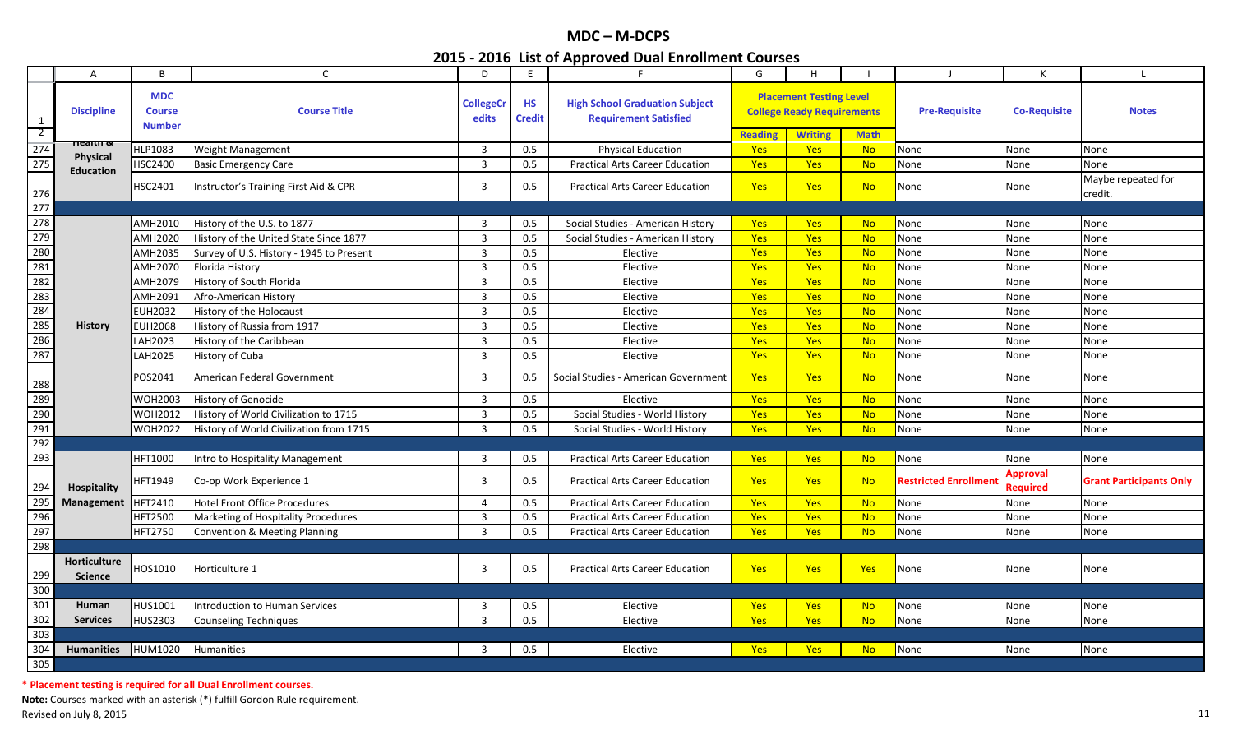|                     | $\overline{A}$                 | B                                            | $\mathsf{C}$                             | D                         | E                          | rr - - - - -<br>F.                                                    | G              | H                                                                                     |             |                       | К                    | $\blacksquare$                 |
|---------------------|--------------------------------|----------------------------------------------|------------------------------------------|---------------------------|----------------------------|-----------------------------------------------------------------------|----------------|---------------------------------------------------------------------------------------|-------------|-----------------------|----------------------|--------------------------------|
| 1<br>$\overline{2}$ | <b>Discipline</b>              | <b>MDC</b><br><b>Course</b><br><b>Number</b> | <b>Course Title</b>                      | <b>CollegeCr</b><br>edits | <b>HS</b><br><b>Credit</b> | <b>High School Graduation Subject</b><br><b>Requirement Satisfied</b> | <b>Reading</b> | <b>Placement Testing Level</b><br><b>College Ready Requirements</b><br><b>Writing</b> | <b>Math</b> | <b>Pre-Requisite</b>  | <b>Co-Requisite</b>  | <b>Notes</b>                   |
| 274                 | псанн о                        | HLP1083                                      | Weight Management                        | $\mathbf{3}$              | 0.5                        | <b>Physical Education</b>                                             | Yes            | <b>Yes</b>                                                                            | <b>No</b>   | None                  | None                 | None                           |
| 275                 | Physical                       | HSC2400                                      | <b>Basic Emergency Care</b>              | $\overline{3}$            | 0.5                        | <b>Practical Arts Career Education</b>                                | <b>Yes</b>     | <b>Yes</b>                                                                            | <b>No</b>   | None                  | None                 | None                           |
|                     | <b>Education</b>               |                                              |                                          |                           |                            |                                                                       |                |                                                                                       |             |                       |                      | Maybe repeated for             |
| 276                 |                                | HSC2401                                      | Instructor's Training First Aid & CPR    | $\overline{3}$            | 0.5                        | <b>Practical Arts Career Education</b>                                | Yes            | <b>Yes</b>                                                                            | <b>No</b>   | None                  | None                 | credit.                        |
| 277                 |                                |                                              |                                          |                           |                            |                                                                       |                |                                                                                       |             |                       |                      |                                |
| 278                 |                                | AMH2010                                      | History of the U.S. to 1877              | 3                         | 0.5                        | Social Studies - American History                                     | <b>Yes</b>     | <b>Yes</b>                                                                            | <b>No</b>   | None                  | None                 | None                           |
| 279                 |                                | AMH2020                                      | History of the United State Since 1877   | 3                         | 0.5                        | Social Studies - American History                                     | Yes            | Yes                                                                                   | <b>No</b>   | None                  | None                 | None                           |
| 280                 |                                | AMH2035                                      | Survey of U.S. History - 1945 to Present | $\overline{3}$            | 0.5                        | Elective                                                              | Yes            | Yes                                                                                   | <b>No</b>   | None                  | None                 | None                           |
| 281                 |                                | AMH2070                                      | Florida History                          | $\overline{3}$            | 0.5                        | Elective                                                              | Yes            | Yes                                                                                   | <b>No</b>   | None                  | None                 | None                           |
| 282                 |                                | AMH2079                                      | History of South Florida                 | 3                         | 0.5                        | Elective                                                              | Yes            | <b>Yes</b>                                                                            | <b>No</b>   | None                  | None                 | None                           |
| 283                 |                                | AMH2091                                      | Afro-American History                    | $\overline{3}$            | 0.5                        | Elective                                                              | Yes            | <b>Yes</b>                                                                            | <b>No</b>   | None                  | None                 | None                           |
| 284                 |                                | <b>EUH2032</b>                               | History of the Holocaust                 | $\overline{3}$            | 0.5                        | Elective                                                              | Yes            | <b>Yes</b>                                                                            | <b>No</b>   | None                  | None                 | None                           |
| 285                 | <b>History</b>                 | <b>EUH2068</b>                               | History of Russia from 1917              | $\overline{3}$            | 0.5                        | Elective                                                              | Yes            | <b>Yes</b>                                                                            | <b>No</b>   | None                  | None                 | None                           |
| 286                 |                                | LAH2023                                      | History of the Caribbean                 | $\mathbf{3}$              | 0.5                        | Elective                                                              | Yes            | <b>Yes</b>                                                                            | <b>No</b>   | None                  | None                 | None                           |
| 287                 |                                | LAH2025                                      | <b>History of Cuba</b>                   | $\overline{3}$            | 0.5                        | Elective                                                              | <b>Yes</b>     | <b>Yes</b>                                                                            | <b>No</b>   | None                  | None                 | None                           |
| 288                 |                                | POS2041                                      | American Federal Government              | $\overline{3}$            | 0.5                        | Social Studies - American Government                                  | Yes            | <b>Yes</b>                                                                            | <b>No</b>   | None                  | None                 | None                           |
| 289                 |                                | WOH2003                                      | History of Genocide                      | 3                         | 0.5                        | Elective                                                              | Yes            | Yes                                                                                   | <b>No</b>   | None                  | None                 | None                           |
| 290                 |                                | WOH2012                                      | History of World Civilization to 1715    | $\overline{3}$            | 0.5                        | Social Studies - World History                                        | Yes            | Yes                                                                                   | <b>No</b>   | None                  | None                 | None                           |
| 291                 |                                | <b>WOH2022</b>                               | History of World Civilization from 1715  | $\overline{3}$            | 0.5                        | Social Studies - World History                                        | <b>Yes</b>     | <b>Yes</b>                                                                            | <b>No</b>   | None                  | None                 | None                           |
| 292                 |                                |                                              |                                          |                           |                            |                                                                       |                |                                                                                       |             |                       |                      |                                |
| 293                 |                                | HFT1000                                      | Intro to Hospitality Management          | 3                         | 0.5                        | <b>Practical Arts Career Education</b>                                | <b>Yes</b>     | <b>Yes</b>                                                                            | <b>No</b>   | None                  | None                 | None                           |
| 294                 | <b>Hospitality</b>             | <b>HFT1949</b>                               | Co-op Work Experience 1                  | 3                         | 0.5                        | <b>Practical Arts Career Education</b>                                | <b>Yes</b>     | <b>Yes</b>                                                                            | <b>No</b>   | Restricted Enrollment | Approval<br>Required | <b>Grant Participants Only</b> |
| 295                 | Management                     | HFT2410                                      | <b>Hotel Front Office Procedures</b>     | 4                         | 0.5                        | <b>Practical Arts Career Education</b>                                | Yes            | Yes                                                                                   | <b>No</b>   | None                  | None                 | None                           |
| 296                 |                                | <b>HFT2500</b>                               | Marketing of Hospitality Procedures      | $\mathbf{3}$              | 0.5                        | <b>Practical Arts Career Education</b>                                | Yes            | <b>Yes</b>                                                                            | <b>No</b>   | None                  | None                 | None                           |
| 297                 |                                | <b>HFT2750</b>                               | <b>Convention &amp; Meeting Planning</b> | $\overline{3}$            | 0.5                        | <b>Practical Arts Career Education</b>                                | <b>Yes</b>     | <b>Yes</b>                                                                            | <b>No</b>   | None                  | None                 | None                           |
| 298                 |                                |                                              |                                          |                           |                            |                                                                       |                |                                                                                       |             |                       |                      |                                |
| 299                 | Horticulture<br><b>Science</b> | HOS1010                                      | Horticulture 1                           | $\overline{3}$            | 0.5                        | <b>Practical Arts Career Education</b>                                | <b>Yes</b>     | Yes                                                                                   | Yes         | None                  | None                 | None                           |
| 300                 |                                |                                              |                                          |                           |                            |                                                                       |                |                                                                                       |             |                       |                      |                                |
| 301                 | Human                          | HUS1001                                      | <b>Introduction to Human Services</b>    | 3                         | 0.5                        | Elective                                                              | <b>Yes</b>     | Yes                                                                                   | <b>No</b>   | None                  | None                 | None                           |
| 302                 | <b>Services</b>                | HUS2303                                      | <b>Counseling Techniques</b>             | $\overline{3}$            | 0.5                        | Elective                                                              | Yes            | Yes                                                                                   | <b>No</b>   | None                  | None                 | None                           |
| 303                 |                                |                                              |                                          |                           |                            |                                                                       |                |                                                                                       |             |                       |                      |                                |
| 304                 | <b>Humanities</b>              | HUM1020                                      | Humanities                               | 3                         | 0.5                        | Elective                                                              | <b>Yes</b>     | <b>Yes</b>                                                                            | <b>No</b>   | None                  | None                 | None                           |
| 305                 |                                |                                              |                                          |                           |                            |                                                                       |                |                                                                                       |             |                       |                      |                                |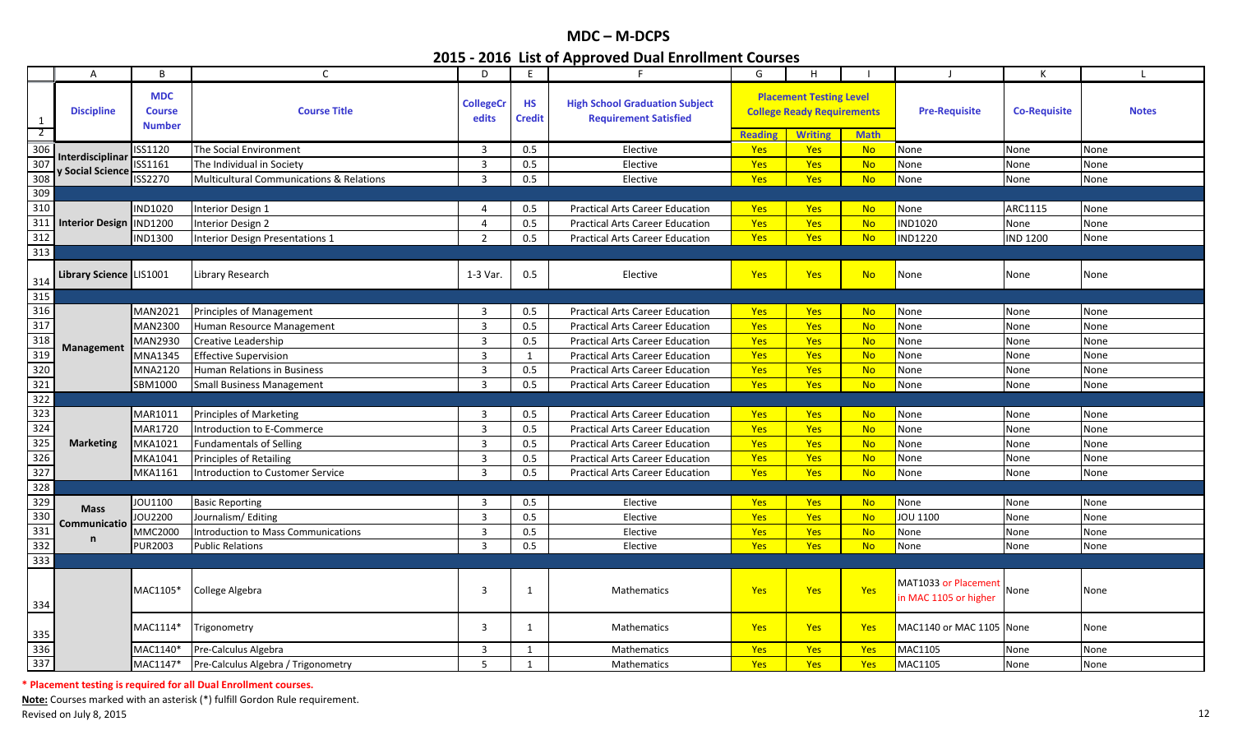|                                                                        | A                       | B                                            | $\mathsf{C}$                                        | D                         | E                          | F.                                                                    | G              | H                                                                                     |             |                                               | K                   | $\blacksquare$ |
|------------------------------------------------------------------------|-------------------------|----------------------------------------------|-----------------------------------------------------|---------------------------|----------------------------|-----------------------------------------------------------------------|----------------|---------------------------------------------------------------------------------------|-------------|-----------------------------------------------|---------------------|----------------|
| 1<br>$\overline{2}$                                                    | <b>Discipline</b>       | <b>MDC</b><br><b>Course</b><br><b>Number</b> | <b>Course Title</b>                                 | <b>CollegeCr</b><br>edits | <b>HS</b><br><b>Credit</b> | <b>High School Graduation Subject</b><br><b>Requirement Satisfied</b> | <b>Reading</b> | <b>Placement Testing Level</b><br><b>College Ready Requirements</b><br><b>Writing</b> | <b>Math</b> | <b>Pre-Requisite</b>                          | <b>Co-Requisite</b> | <b>Notes</b>   |
|                                                                        |                         | ISS1120                                      | The Social Environment                              | 3                         | 0.5                        | Elective                                                              | <b>Yes</b>     | <b>Yes</b>                                                                            | <b>No</b>   | None                                          | None                | None           |
|                                                                        | Interdisciplinar        | ISS1161                                      | The Individual in Society                           | $\overline{3}$            | 0.5                        | Elective                                                              | Yes            | Yes                                                                                   | <b>No</b>   | None                                          | None                | None           |
| $\begin{array}{r}\n 306 \\ \hline\n 307 \\ \hline\n 308\n \end{array}$ | y Social Science        | ISS2270                                      | <b>Multicultural Communications &amp; Relations</b> | $\overline{\mathbf{3}}$   | 0.5                        | Elective                                                              | Yes            | Yes                                                                                   | <b>No</b>   | None                                          | None                | None           |
| 309                                                                    |                         |                                              |                                                     |                           |                            |                                                                       |                |                                                                                       |             |                                               |                     |                |
| 310                                                                    |                         | <b>IND1020</b>                               | Interior Design 1                                   | 4                         | 0.5                        | <b>Practical Arts Career Education</b>                                | <b>Yes</b>     | Yes                                                                                   | <b>No</b>   | None                                          | ARC1115             | None           |
| 311                                                                    | <b>Interior Design</b>  | <b>IND1200</b>                               | Interior Design 2                                   | 4                         | 0.5                        | <b>Practical Arts Career Education</b>                                | <b>Yes</b>     | <b>Yes</b>                                                                            | <b>No</b>   | <b>IND1020</b>                                | None                | None           |
| 312                                                                    |                         | <b>IND1300</b>                               | <b>Interior Design Presentations 1</b>              | 2                         | 0.5                        | <b>Practical Arts Career Education</b>                                | <b>Yes</b>     | <b>Yes</b>                                                                            | <b>No</b>   | <b>IND1220</b>                                | <b>IND 1200</b>     | None           |
| 313                                                                    |                         |                                              |                                                     |                           |                            |                                                                       |                |                                                                                       |             |                                               |                     |                |
|                                                                        | Library Science LIS1001 |                                              | Library Research                                    | 1-3 Var.                  | 0.5                        | Elective                                                              | Yes            | Yes                                                                                   | <b>No</b>   | None                                          | None                | None           |
| $\frac{314}{315}$                                                      |                         |                                              |                                                     |                           |                            |                                                                       |                |                                                                                       |             |                                               |                     |                |
| 316                                                                    |                         | <b>MAN2021</b>                               | Principles of Management                            | 3                         | 0.5                        | <b>Practical Arts Career Education</b>                                | <b>Yes</b>     | <b>Yes</b>                                                                            | <b>No</b>   | None                                          | None                | None           |
| 317                                                                    |                         | <b>MAN2300</b>                               | Human Resource Management                           | $\overline{3}$            | 0.5                        | <b>Practical Arts Career Education</b>                                | <b>Yes</b>     | Yes                                                                                   | <b>No</b>   | None                                          | None                | None           |
| $\begin{array}{r} 318 \\ 319 \\ \hline 320 \end{array}$                |                         | MAN2930                                      | Creative Leadership                                 | 3                         | 0.5                        | <b>Practical Arts Career Education</b>                                | Yes            | <b>Yes</b>                                                                            | <b>No</b>   | None                                          | None                | None           |
|                                                                        | Management              | MNA1345                                      | <b>Effective Supervision</b>                        | $\overline{3}$            | 1                          | <b>Practical Arts Career Education</b>                                | Yes            | Yes                                                                                   | <b>No</b>   | None                                          | None                | None           |
|                                                                        |                         | <b>MNA2120</b>                               | Human Relations in Business                         | $\overline{3}$            | 0.5                        | <b>Practical Arts Career Education</b>                                | Yes            | <b>Yes</b>                                                                            | <b>No</b>   | None                                          | None                | None           |
| 321                                                                    |                         | SBM1000                                      | <b>Small Business Management</b>                    | $\overline{3}$            | $0.5\,$                    | <b>Practical Arts Career Education</b>                                | Yes            | <b>Yes</b>                                                                            | <b>No</b>   | None                                          | None                | None           |
| 322                                                                    |                         |                                              |                                                     |                           |                            |                                                                       |                |                                                                                       |             |                                               |                     |                |
| 323                                                                    |                         | MAR1011                                      | <b>Principles of Marketing</b>                      | $\overline{3}$            | 0.5                        | <b>Practical Arts Career Education</b>                                | Yes            | Yes                                                                                   | <b>No</b>   | None                                          | None                | None           |
| 324                                                                    |                         | <b>MAR1720</b>                               | Introduction to E-Commerce                          | $\overline{3}$            | 0.5                        | <b>Practical Arts Career Education</b>                                | Yes            | <b>Yes</b>                                                                            | <b>No</b>   | None                                          | None                | None           |
| 325                                                                    | <b>Marketing</b>        | MKA1021                                      | <b>Fundamentals of Selling</b>                      | $\overline{3}$            | 0.5                        | <b>Practical Arts Career Education</b>                                | Yes            | <b>Yes</b>                                                                            | <b>No</b>   | None                                          | None                | None           |
| 326                                                                    |                         | MKA1041                                      | Principles of Retailing                             | $\overline{3}$            | 0.5                        | <b>Practical Arts Career Education</b>                                | Yes            | <b>Yes</b>                                                                            | <b>No</b>   | None                                          | None                | None           |
| 327                                                                    |                         | MKA1161                                      | ntroduction to Customer Service                     | $\overline{3}$            | 0.5                        | <b>Practical Arts Career Education</b>                                | <b>Yes</b>     | Yes                                                                                   | <b>No</b>   | None                                          | None                | None           |
| 328                                                                    |                         |                                              |                                                     |                           |                            |                                                                       |                |                                                                                       |             |                                               |                     |                |
| $\begin{array}{r} 329 \\ \hline 330 \\ \hline 331 \end{array}$         | <b>Mass</b>             | JOU1100                                      | <b>Basic Reporting</b>                              | 3                         | 0.5                        | Elective                                                              | Yes            | Yes                                                                                   | <b>No</b>   | None                                          | None                | None           |
|                                                                        | Communicatio            | JOU2200                                      | Journalism/Editing                                  | $\overline{3}$            | 0.5                        | Elective                                                              | Yes            | Yes                                                                                   | <b>No</b>   | JOU 1100                                      | None                | None           |
|                                                                        | n                       | <b>MMC2000</b>                               | ntroduction to Mass Communications                  | 3                         | 0.5                        | Elective                                                              | Yes            | Yes                                                                                   | <b>No</b>   | None                                          | None                | None           |
| 332                                                                    |                         | <b>PUR2003</b>                               | Public Relations                                    | $\overline{3}$            | 0.5                        | Elective                                                              | Yes            | <b>Yes</b>                                                                            | <b>No</b>   | None                                          | None                | None           |
| 333                                                                    |                         |                                              |                                                     |                           |                            |                                                                       |                |                                                                                       |             |                                               |                     |                |
| 334                                                                    |                         | MAC1105*                                     | College Algebra                                     | 3                         | $\mathbf{1}$               | Mathematics                                                           | <b>Yes</b>     | <b>Yes</b>                                                                            | Yes         | MAT1033 or Placement<br>in MAC 1105 or higher | None                | None           |
| 335                                                                    |                         | MAC1114*                                     | Trigonometry                                        | 3                         | $\mathbf{1}$               | Mathematics                                                           | <b>Yes</b>     | <b>Yes</b>                                                                            | Yes         | MAC1140 or MAC 1105 None                      |                     | None           |
|                                                                        |                         | MAC1140*                                     | Pre-Calculus Algebra                                | 3                         | $\mathbf{1}$               | Mathematics                                                           | Yes            | Yes                                                                                   | Yes         | MAC1105                                       | None                | None           |
| 336<br>337                                                             |                         | MAC1147*                                     | Pre-Calculus Algebra / Trigonometry                 | 5                         | $\mathbf{1}$               | Mathematics                                                           | Yes            | Yes                                                                                   | <b>Yes</b>  | MAC1105                                       | None                | None           |

**\* Placement testing is required for all Dual Enrollment courses.**

**Note:** Courses marked with an asterisk (\*) fulfill Gordon Rule requirement. Revised on July 8, 2015 **12. In a state of the Contract Contract** and the Revised on July 8, 2015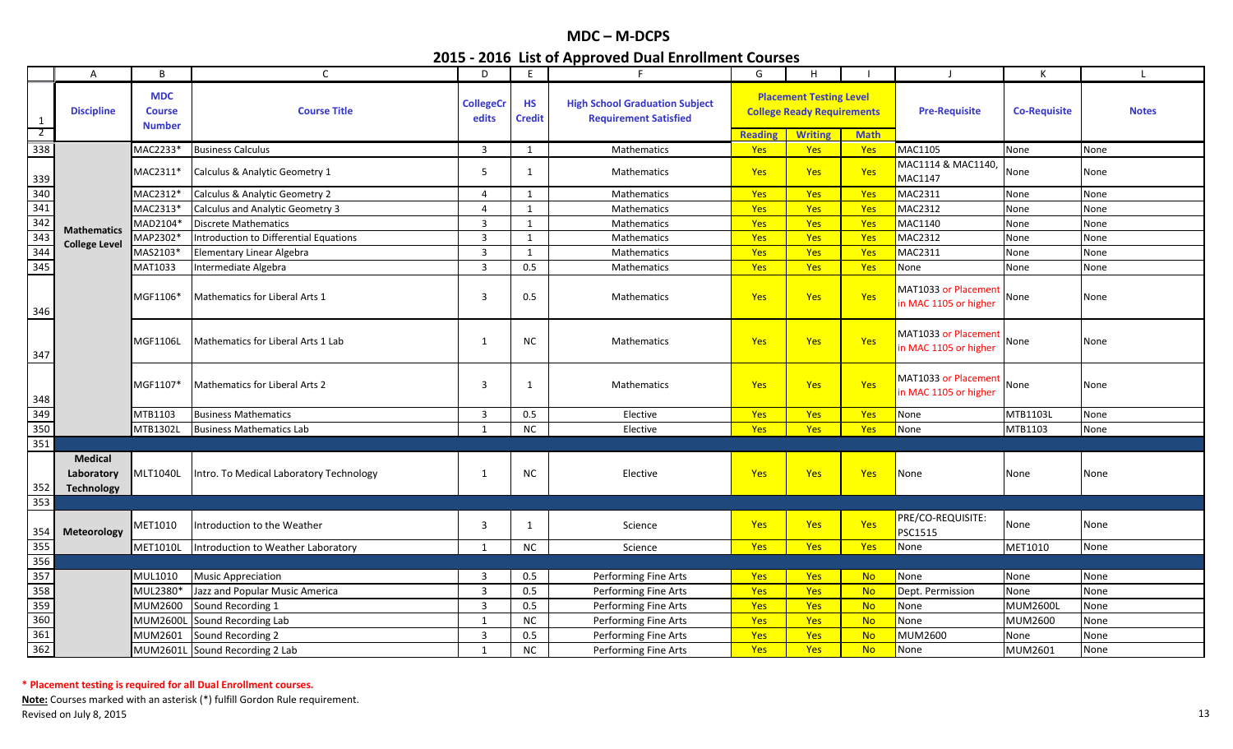|                     | A                                                 | B                                            | $\mathsf{C}$                            | D                         | E                          |                                                                       | G              | H                                                                   |                |                                               | К                   |              |
|---------------------|---------------------------------------------------|----------------------------------------------|-----------------------------------------|---------------------------|----------------------------|-----------------------------------------------------------------------|----------------|---------------------------------------------------------------------|----------------|-----------------------------------------------|---------------------|--------------|
| 1<br>$\overline{2}$ | <b>Discipline</b>                                 | <b>MDC</b><br><b>Course</b><br><b>Number</b> | <b>Course Title</b>                     | <b>CollegeCr</b><br>edits | <b>HS</b><br><b>Credit</b> | <b>High School Graduation Subject</b><br><b>Requirement Satisfied</b> |                | <b>Placement Testing Level</b><br><b>College Ready Requirements</b> |                | <b>Pre-Requisite</b>                          | <b>Co-Requisite</b> | <b>Notes</b> |
|                     |                                                   |                                              |                                         |                           |                            |                                                                       | <b>Reading</b> | <b>Writing</b>                                                      | <b>Math</b>    |                                               |                     |              |
| 338                 |                                                   | MAC2233*                                     | <b>Business Calculus</b>                | $\overline{3}$            | 1                          | Mathematics                                                           | <b>Yes</b>     | Yes                                                                 | Yes            | MAC1105                                       | None                | None         |
| 339                 |                                                   | MAC2311*                                     | Calculus & Analytic Geometry 1          | 5                         | 1                          | <b>Mathematics</b>                                                    | Yes            | <b>Yes</b>                                                          | Yes            | MAC1114 & MAC1140,<br>MAC1147                 | None                | None         |
| 340                 |                                                   | MAC2312*                                     | Calculus & Analytic Geometry 2          | $\overline{4}$            | $\mathbf{1}$               | Mathematics                                                           | Yes            | <b>Yes</b>                                                          | Yes            | MAC2311                                       | None                | None         |
| 341                 |                                                   | MAC2313*                                     | Calculus and Analytic Geometry 3        | $\overline{4}$            | 1                          | Mathematics                                                           | Yes            | Yes                                                                 | Yes            | MAC2312                                       | None                | None         |
| 342                 |                                                   | MAD2104*                                     | <b>Discrete Mathematics</b>             | $\overline{3}$            | 1                          | Mathematics                                                           | <b>Yes</b>     | <b>Yes</b>                                                          | Yes            | MAC1140                                       | None                | None         |
| 343                 | <b>Mathematics</b>                                | MAP2302*                                     | Introduction to Differential Equations  | $\overline{3}$            | 1                          | Mathematics                                                           | <b>Yes</b>     | <b>Yes</b>                                                          | Yes            | <b>MAC2312</b>                                | None                | None         |
| 344                 | <b>College Level</b>                              | MAS2103*                                     | Elementary Linear Algebra               | 3                         | 1                          | Mathematics                                                           | <b>Yes</b>     | Yes                                                                 | Yes            | MAC2311                                       | None                | None         |
| 345                 |                                                   | MAT1033                                      | Intermediate Algebra                    | $\overline{3}$            | $0.5\,$                    | Mathematics                                                           | Yes            | Yes                                                                 | Yes            | None                                          | None                | None         |
| 346                 |                                                   | MGF1106*                                     | Mathematics for Liberal Arts 1          | 3                         | 0.5                        | Mathematics                                                           | Yes            | <b>Yes</b>                                                          | Yes            | MAT1033 or Placement<br>in MAC 1105 or higher | None                | None         |
| 347                 |                                                   | MGF1106L                                     | Mathematics for Liberal Arts 1 Lab      | 1                         | ΝC                         | <b>Mathematics</b>                                                    | <b>Yes</b>     | <b>Yes</b>                                                          | Yes            | MAT1033 or Placement<br>in MAC 1105 or higher | None                | None         |
| 348                 |                                                   | MGF1107*                                     | <b>Mathematics for Liberal Arts 2</b>   | 3                         | -1                         | Mathematics                                                           | <b>Yes</b>     | <b>Yes</b>                                                          | Yes            | MAT1033 or Placement<br>in MAC 1105 or higher | None                | None         |
| 349                 |                                                   | MTB1103                                      | <b>Business Mathematics</b>             | $\overline{3}$            | 0.5                        | Elective                                                              | Yes            | Yes                                                                 | Yes            | None                                          | MTB1103L            | None         |
| 350                 |                                                   | MTB1302L                                     | <b>Business Mathematics Lab</b>         | 1                         | ${\sf NC}$                 | Elective                                                              | <b>Yes</b>     | <b>Yes</b>                                                          | Yes            | None                                          | MTB1103             | None         |
| 351                 |                                                   |                                              |                                         |                           |                            |                                                                       |                |                                                                     |                |                                               |                     |              |
| 352                 | <b>Medical</b><br>Laboratory<br><b>Technology</b> | <b>MLT1040L</b>                              | Intro. To Medical Laboratory Technology | $\mathbf{1}$              | <b>NC</b>                  | Elective                                                              | Yes            | Yes                                                                 | Yes            | None                                          | None                | None         |
| 353                 |                                                   |                                              |                                         |                           |                            |                                                                       |                |                                                                     |                |                                               |                     |              |
| 354                 | Meteorology                                       | MET1010                                      | Introduction to the Weather             | 3                         | 1                          | Science                                                               | Yes            | <b>Yes</b>                                                          | Yes            | PRE/CO-REQUISITE:<br><b>PSC1515</b>           | None                | None         |
| 355                 |                                                   | <b>MET1010L</b>                              | Introduction to Weather Laboratory      | $\mathbf{1}$              | NC                         | Science                                                               | Yes            | <b>Yes</b>                                                          | Yes            | None                                          | MET1010             | None         |
| 356                 |                                                   |                                              |                                         |                           |                            |                                                                       |                |                                                                     |                |                                               |                     |              |
| 357                 |                                                   | MUL1010                                      | <b>Music Appreciation</b>               | 3                         | $0.5\,$                    | Performing Fine Arts                                                  | Yes            | Yes                                                                 | <b>No</b>      | None                                          | None                | None         |
| 358                 |                                                   | MUL2380*                                     | Jazz and Popular Music America          | $\overline{3}$            | 0.5                        | Performing Fine Arts                                                  | <b>Yes</b>     | Yes                                                                 | <b>No</b>      | Dept. Permission                              | None                | None         |
| 359                 |                                                   | MUM2600                                      | Sound Recording 1                       | $\overline{3}$            | 0.5                        | Performing Fine Arts                                                  | <b>Yes</b>     | Yes                                                                 | N <sub>O</sub> | None                                          | <b>MUM2600L</b>     | None         |
| 360                 |                                                   | MUM2600L                                     | Sound Recording Lab                     | 1                         | ${\sf NC}$                 | Performing Fine Arts                                                  | Yes            | Yes                                                                 | <b>No</b>      | None                                          | <b>MUM2600</b>      | None         |
| 361                 |                                                   | MUM2601                                      | Sound Recording 2                       | $\overline{3}$            | 0.5                        | Performing Fine Arts                                                  | <b>Yes</b>     | <b>Yes</b>                                                          | <b>No</b>      | MUM2600                                       | None                | None         |
| 362                 |                                                   |                                              | MUM2601L Sound Recording 2 Lab          | 1                         | $NC$                       | Performing Fine Arts                                                  | Yes            | <b>Yes</b>                                                          | <b>No</b>      | None                                          | MUM2601             | None         |
|                     |                                                   |                                              |                                         |                           |                            |                                                                       |                |                                                                     |                |                                               |                     |              |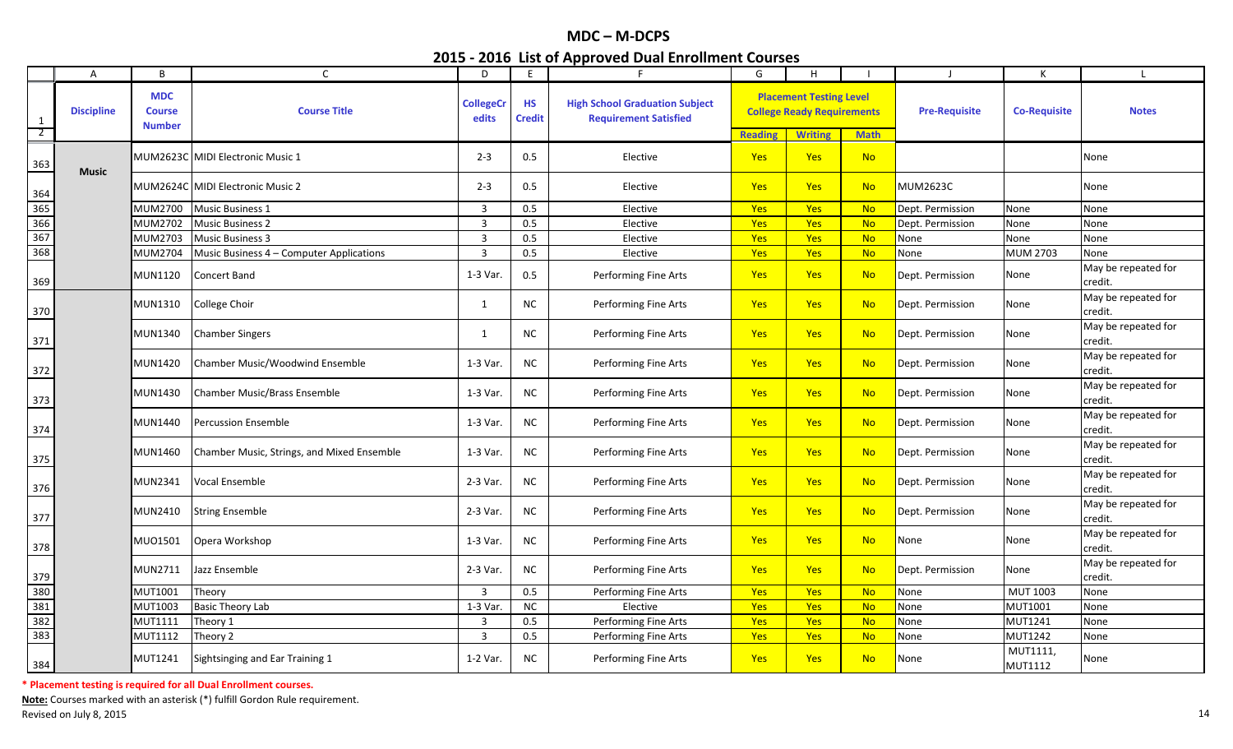|                     | A                 | B                                            | $\mathsf{C}$                               | D                         | E                          | F.                                                                    | G              | H                                                                                     |             | -1                   | К                          |                                |
|---------------------|-------------------|----------------------------------------------|--------------------------------------------|---------------------------|----------------------------|-----------------------------------------------------------------------|----------------|---------------------------------------------------------------------------------------|-------------|----------------------|----------------------------|--------------------------------|
| 1<br>$\overline{2}$ | <b>Discipline</b> | <b>MDC</b><br><b>Course</b><br><b>Number</b> | <b>Course Title</b>                        | <b>CollegeCr</b><br>edits | <b>HS</b><br><b>Credit</b> | <b>High School Graduation Subject</b><br><b>Requirement Satisfied</b> | <b>Reading</b> | <b>Placement Testing Level</b><br><b>College Ready Requirements</b><br><b>Writing</b> | <b>Math</b> | <b>Pre-Requisite</b> | <b>Co-Requisite</b>        | <b>Notes</b>                   |
| 363                 | <b>Music</b>      |                                              | MUM2623C MIDI Electronic Music 1           | $2 - 3$                   | 0.5                        | Elective                                                              | Yes            | <b>Yes</b>                                                                            | <b>No</b>   |                      |                            | None                           |
| 364                 |                   |                                              | MUM2624C MIDI Electronic Music 2           | $2 - 3$                   | 0.5                        | Elective                                                              | <b>Yes</b>     | <b>Yes</b>                                                                            | <b>No</b>   | MUM2623C             |                            | None                           |
| 365                 |                   | MUM2700                                      | <b>Music Business 1</b>                    | $\overline{3}$            | 0.5                        | Elective                                                              | Yes            | <b>Yes</b>                                                                            | <b>No</b>   | Dept. Permission     | None                       | None                           |
| 366                 |                   | MUM2702                                      | <b>Music Business 2</b>                    | $\overline{3}$            | 0.5                        | Elective                                                              | Yes            | <b>Yes</b>                                                                            | <b>No</b>   | Dept. Permission     | None                       | None                           |
| 367                 |                   | MUM2703                                      | <b>Music Business 3</b>                    | $\overline{3}$            | 0.5                        | Elective                                                              | Yes            | <b>Yes</b>                                                                            | <b>No</b>   | None                 | None                       | None                           |
| 368                 |                   | MUM2704                                      | Music Business 4 - Computer Applications   | $\overline{3}$            | 0.5                        | Elective                                                              | Yes            | <b>Yes</b>                                                                            | <b>No</b>   | None                 | <b>MUM 2703</b>            | None                           |
| 369                 |                   | <b>MUN1120</b>                               | Concert Band                               | 1-3 Var.                  | 0.5                        | Performing Fine Arts                                                  | Yes            | <b>Yes</b>                                                                            | <b>No</b>   | Dept. Permission     | None                       | May be repeated for<br>credit. |
| 370                 |                   | <b>MUN1310</b>                               | College Choir                              | $\mathbf{1}$              | <b>NC</b>                  | Performing Fine Arts                                                  | Yes            | <b>Yes</b>                                                                            | <b>No</b>   | Dept. Permission     | None                       | May be repeated for<br>credit. |
| 371                 |                   | MUN1340                                      | <b>Chamber Singers</b>                     | 1                         | NC.                        | Performing Fine Arts                                                  | <b>Yes</b>     | <b>Yes</b>                                                                            | <b>No</b>   | Dept. Permission     | None                       | May be repeated for<br>credit. |
| 372                 |                   | <b>MUN1420</b>                               | <b>Chamber Music/Woodwind Ensemble</b>     | 1-3 Var.                  | NC.                        | Performing Fine Arts                                                  | Yes            | <b>Yes</b>                                                                            | <b>No</b>   | Dept. Permission     | None                       | May be repeated for<br>credit. |
| 373                 |                   | MUN1430                                      | <b>Chamber Music/Brass Ensemble</b>        | 1-3 Var.                  | <b>NC</b>                  | Performing Fine Arts                                                  | Yes            | <b>Yes</b>                                                                            | <b>No</b>   | Dept. Permission     | None                       | May be repeated for<br>credit. |
| 374                 |                   | MUN1440                                      | <b>Percussion Ensemble</b>                 | 1-3 Var.                  | <b>NC</b>                  | Performing Fine Arts                                                  | Yes            | <b>Yes</b>                                                                            | <b>No</b>   | Dept. Permission     | None                       | May be repeated for<br>credit. |
| 375                 |                   | <b>MUN1460</b>                               | Chamber Music, Strings, and Mixed Ensemble | 1-3 Var.                  | $NC$                       | Performing Fine Arts                                                  | Yes            | <b>Yes</b>                                                                            | <b>No</b>   | Dept. Permission     | None                       | May be repeated for<br>credit. |
| 376                 |                   | MUN2341                                      | Vocal Ensemble                             | 2-3 Var.                  | <b>NC</b>                  | Performing Fine Arts                                                  | Yes            | <b>Yes</b>                                                                            | <b>No</b>   | Dept. Permission     | None                       | May be repeated for<br>credit. |
| 377                 |                   | MUN2410                                      | <b>String Ensemble</b>                     | 2-3 Var.                  | NC.                        | Performing Fine Arts                                                  | Yes            | Yes                                                                                   | <b>No</b>   | Dept. Permission     | None                       | May be repeated for<br>credit. |
| 378                 |                   | MU01501                                      | Opera Workshop                             | 1-3 Var.                  | <b>NC</b>                  | Performing Fine Arts                                                  | <b>Yes</b>     | <b>Yes</b>                                                                            | <b>No</b>   | None                 | None                       | May be repeated for<br>credit. |
| 379                 |                   | MUN2711                                      | Jazz Ensemble                              | 2-3 Var.                  | <b>NC</b>                  | Performing Fine Arts                                                  | <b>Yes</b>     | <b>Yes</b>                                                                            | <b>No</b>   | Dept. Permission     | None                       | May be repeated for<br>credit. |
| 380                 |                   | MUT1001                                      | Theory                                     | $\overline{3}$            | 0.5                        | Performing Fine Arts                                                  | Yes            | Yes                                                                                   | <b>No</b>   | None                 | MUT 1003                   | None                           |
| 381                 |                   | MUT1003                                      | <b>Basic Theory Lab</b>                    | $1-3$ Var.                | <b>NC</b>                  | Elective                                                              | Yes            | Yes                                                                                   | <b>No</b>   | None                 | <b>MUT1001</b>             | None                           |
| 382                 |                   | <b>MUT1111</b>                               | Theory 1                                   | $\overline{3}$            | 0.5                        | Performing Fine Arts                                                  | Yes            | <b>Yes</b>                                                                            | <b>No</b>   | None                 | MUT1241                    | None                           |
| 383                 |                   | <b>MUT1112</b>                               | Theory 2                                   | $\overline{3}$            | 0.5                        | Performing Fine Arts                                                  | Yes            | <b>Yes</b>                                                                            | <b>No</b>   | None                 | <b>MUT1242</b>             | None                           |
| 384                 |                   | <b>MUT1241</b>                               | Sightsinging and Ear Training 1            | 1-2 Var.                  | <b>NC</b>                  | Performing Fine Arts                                                  | <b>Yes</b>     | <b>Yes</b>                                                                            | <b>No</b>   | None                 | MUT1111,<br><b>MUT1112</b> | None                           |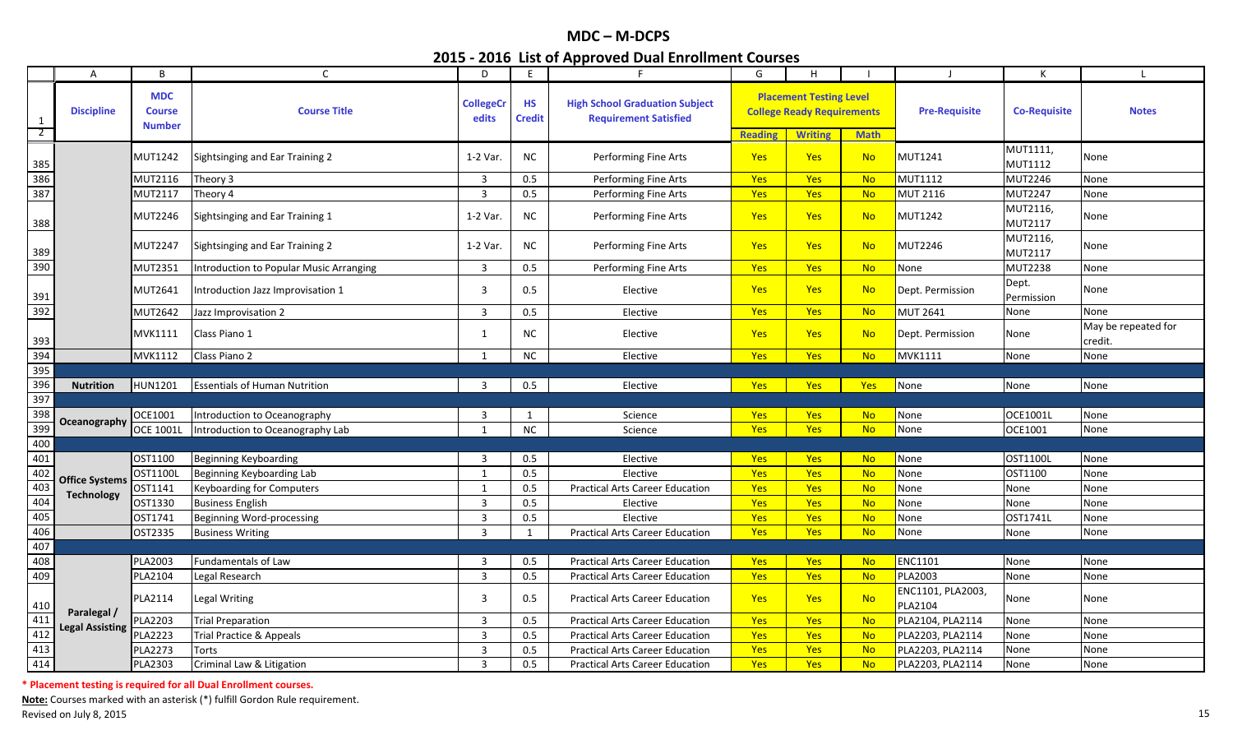|                                                                                            | $\mathsf{A}$                               | B                                            | $\mathsf{C}$                                   | D                         | E.                         | F                                                                     | G              | н                                                                   |             | $\blacksquare$                      | К                          |                                |
|--------------------------------------------------------------------------------------------|--------------------------------------------|----------------------------------------------|------------------------------------------------|---------------------------|----------------------------|-----------------------------------------------------------------------|----------------|---------------------------------------------------------------------|-------------|-------------------------------------|----------------------------|--------------------------------|
| $\mathbf{1}$<br>$\overline{2}$                                                             | <b>Discipline</b>                          | <b>MDC</b><br><b>Course</b><br><b>Number</b> | <b>Course Title</b>                            | <b>CollegeCr</b><br>edits | <b>HS</b><br><b>Credit</b> | <b>High School Graduation Subject</b><br><b>Requirement Satisfied</b> |                | <b>Placement Testing Level</b><br><b>College Ready Requirements</b> |             | <b>Pre-Requisite</b>                | <b>Co-Requisite</b>        | <b>Notes</b>                   |
|                                                                                            |                                            |                                              |                                                |                           |                            |                                                                       | <b>Reading</b> | <b>Writing</b>                                                      | <b>Math</b> |                                     |                            |                                |
| $\begin{array}{r} 385 \\ 386 \\ \hline 387 \end{array}$                                    |                                            | MUT1242                                      | Sightsinging and Ear Training 2                | 1-2 Var.                  | <b>NC</b>                  | Performing Fine Arts                                                  | Yes            | <b>Yes</b>                                                          | <b>No</b>   | MUT1241                             | MUT1111,<br><b>MUT1112</b> | None                           |
|                                                                                            |                                            | MUT2116                                      | Theory 3                                       | 3                         | 0.5                        | Performing Fine Arts                                                  | Yes            | <b>Yes</b>                                                          | No          | <b>MUT1112</b>                      | <b>MUT2246</b>             | None                           |
|                                                                                            |                                            | MUT2117                                      | Theory 4                                       | $\overline{3}$            | 0.5                        | Performing Fine Arts                                                  | Yes            | Yes                                                                 | <b>No</b>   | <b>MUT 2116</b>                     | <b>MUT2247</b>             | None                           |
| 388                                                                                        |                                            | MUT2246                                      | Sightsinging and Ear Training 1                | 1-2 Var.                  | <b>NC</b>                  | Performing Fine Arts                                                  | <b>Yes</b>     | Yes                                                                 | <b>No</b>   | <b>MUT1242</b>                      | MUT2116,<br><b>MUT2117</b> | None                           |
| 389                                                                                        |                                            | <b>MUT2247</b>                               | Sightsinging and Ear Training 2                | 1-2 Var.                  | NC                         | Performing Fine Arts                                                  | <b>Yes</b>     | Yes                                                                 | <b>No</b>   | <b>MUT2246</b>                      | MUT2116,<br>MUT2117        | None                           |
| 390                                                                                        |                                            | MUT2351                                      | <b>Introduction to Popular Music Arranging</b> | 3                         | 0.5                        | Performing Fine Arts                                                  | <b>Yes</b>     | Yes                                                                 | <b>No</b>   | None                                | <b>MUT2238</b>             | None                           |
|                                                                                            |                                            | MUT2641                                      | Introduction Jazz Improvisation 1              | 3                         | 0.5                        | Elective                                                              | <b>Yes</b>     | Yes                                                                 | <b>No</b>   | Dept. Permission                    | Dept.<br>Permission        | None                           |
| $\frac{391}{392}$                                                                          |                                            | <b>MUT2642</b>                               | Jazz Improvisation 2                           | 3                         | 0.5                        | Elective                                                              | Yes            | Yes                                                                 | <b>No</b>   | <b>MUT 2641</b>                     | None                       | None                           |
| 393                                                                                        |                                            | MVK1111                                      | Class Piano 1                                  | $\mathbf{1}$              | NC.                        | Elective                                                              | <b>Yes</b>     | <b>Yes</b>                                                          | <b>No</b>   | Dept. Permission                    | None                       | May be repeated for<br>credit. |
| 394                                                                                        |                                            | MVK1112                                      | Class Piano 2                                  | $\mathbf{1}$              | <b>NC</b>                  | Elective                                                              | <b>Yes</b>     | Yes                                                                 | <b>No</b>   | <b>MVK1111</b>                      | None                       | None                           |
| 395                                                                                        |                                            |                                              |                                                |                           |                            |                                                                       |                |                                                                     |             |                                     |                            |                                |
| 396                                                                                        | <b>Nutrition</b>                           | <b>HUN1201</b>                               | <b>Essentials of Human Nutrition</b>           | 3                         | 0.5                        | Elective                                                              | <b>Yes</b>     | <b>Yes</b>                                                          | <b>Yes</b>  | None                                | None                       | None                           |
| 397                                                                                        |                                            |                                              |                                                |                           |                            |                                                                       |                |                                                                     |             |                                     |                            |                                |
| 398                                                                                        |                                            | OCE1001                                      | Introduction to Oceanography                   | 3                         | $\mathbf{1}$               | Science                                                               | Yes            | Yes                                                                 | <b>No</b>   | None                                | OCE1001L                   | None                           |
| 399                                                                                        | Oceanography                               | <b>OCE 1001L</b>                             | Introduction to Oceanography Lab               | $\mathbf{1}$              | NC                         | Science                                                               | <b>Yes</b>     | Yes                                                                 | <b>No</b>   | None                                | OCE1001                    | None                           |
| 400                                                                                        |                                            |                                              |                                                |                           |                            |                                                                       |                |                                                                     |             |                                     |                            |                                |
| 401                                                                                        |                                            | OST1100                                      | <b>Beginning Keyboarding</b>                   | 3                         | 0.5                        | Elective                                                              | <b>Yes</b>     | <b>Yes</b>                                                          | <b>No</b>   | None                                | OST1100L                   | None                           |
| 402                                                                                        |                                            | OST1100L                                     | Beginning Keyboarding Lab                      | 1                         | 0.5                        | Elective                                                              | Yes            | Yes                                                                 | <b>No</b>   | None                                | OST1100                    | None                           |
| 403                                                                                        | <b>Office Systems</b><br><b>Technology</b> | OST1141                                      | <b>Keyboarding for Computers</b>               | $\mathbf{1}$              | 0.5                        | <b>Practical Arts Career Education</b>                                | Yes            | Yes                                                                 | <b>No</b>   | None                                | None                       | None                           |
| $\frac{103}{404}$                                                                          |                                            | OST1330                                      | <b>Business English</b>                        | 3                         | 0.5                        | Elective                                                              | <b>Yes</b>     | Yes                                                                 | <b>No</b>   | None                                | None                       | None                           |
| 405                                                                                        |                                            | OST1741                                      | Beginning Word-processing                      | 3                         | 0.5                        | Elective                                                              | <b>Yes</b>     | <b>Yes</b>                                                          | <b>No</b>   | None                                | OST1741L                   | None                           |
| 406                                                                                        |                                            | OST2335                                      | <b>Business Writing</b>                        | 3                         | 1                          | <b>Practical Arts Career Education</b>                                | <b>Yes</b>     | <b>Yes</b>                                                          | <b>No</b>   | None                                | None                       | None                           |
| 407                                                                                        |                                            |                                              |                                                |                           |                            |                                                                       |                |                                                                     |             |                                     |                            |                                |
| 408                                                                                        |                                            | PLA2003                                      | <b>Fundamentals of Law</b>                     | 3                         | 0.5                        | <b>Practical Arts Career Education</b>                                | Yes            | Yes                                                                 | <b>No</b>   | <b>ENC1101</b>                      | None                       | None                           |
| 409                                                                                        |                                            | PLA2104                                      | Legal Research                                 | $\overline{3}$            | 0.5                        | <b>Practical Arts Career Education</b>                                | Yes            | Yes                                                                 | <b>No</b>   | <b>PLA2003</b>                      | None                       | None                           |
| $\begin{array}{r} 410 \\ \hline 411 \\ \hline 412 \\ \hline 413 \\ \hline 414 \end{array}$ | Paralegal /                                | PLA2114                                      | Legal Writing                                  | 3                         | 0.5                        | <b>Practical Arts Career Education</b>                                | Yes            | Yes                                                                 | <b>No</b>   | ENC1101, PLA2003,<br><b>PLA2104</b> | None                       | None                           |
|                                                                                            | <b>Legal Assisting</b>                     | <b>PLA2203</b>                               | <b>Trial Preparation</b>                       | 3                         | 0.5                        | <b>Practical Arts Career Education</b>                                | Yes            | Yes                                                                 | <b>No</b>   | PLA2104, PLA2114                    | None                       | None                           |
|                                                                                            |                                            | <b>PLA2223</b>                               | <b>Trial Practice &amp; Appeals</b>            | $\overline{3}$            | 0.5                        | <b>Practical Arts Career Education</b>                                | Yes            | Yes                                                                 | <b>No</b>   | PLA2203, PLA2114                    | None                       | None                           |
|                                                                                            |                                            | PLA2273                                      | Torts                                          | $\overline{3}$            | 0.5                        | <b>Practical Arts Career Education</b>                                | Yes            | Yes                                                                 | <b>No</b>   | PLA2203, PLA2114                    | None                       | None                           |
|                                                                                            |                                            | PLA2303                                      | Criminal Law & Litigation                      | $\overline{3}$            | 0.5                        | <b>Practical Arts Career Education</b>                                | Yes            | Yes                                                                 | <b>No</b>   | PLA2203, PLA2114                    | None                       | None                           |

**\* Placement testing is required for all Dual Enrollment courses.**

**Note:** Courses marked with an asterisk (\*) fulfill Gordon Rule requirement. Revised on July 8, 2015 **15 Secure 20 Secure 20 Secure 20 Secure 20 Secure 20 Secure 20 Secure 20 Secure 20 Secure 20 Secure 20 Secure 20 Secure 20 Secure 20 Secure 20 Secure 20 Secure 20 Secure 20 Secure 20 Secure 20 Secu**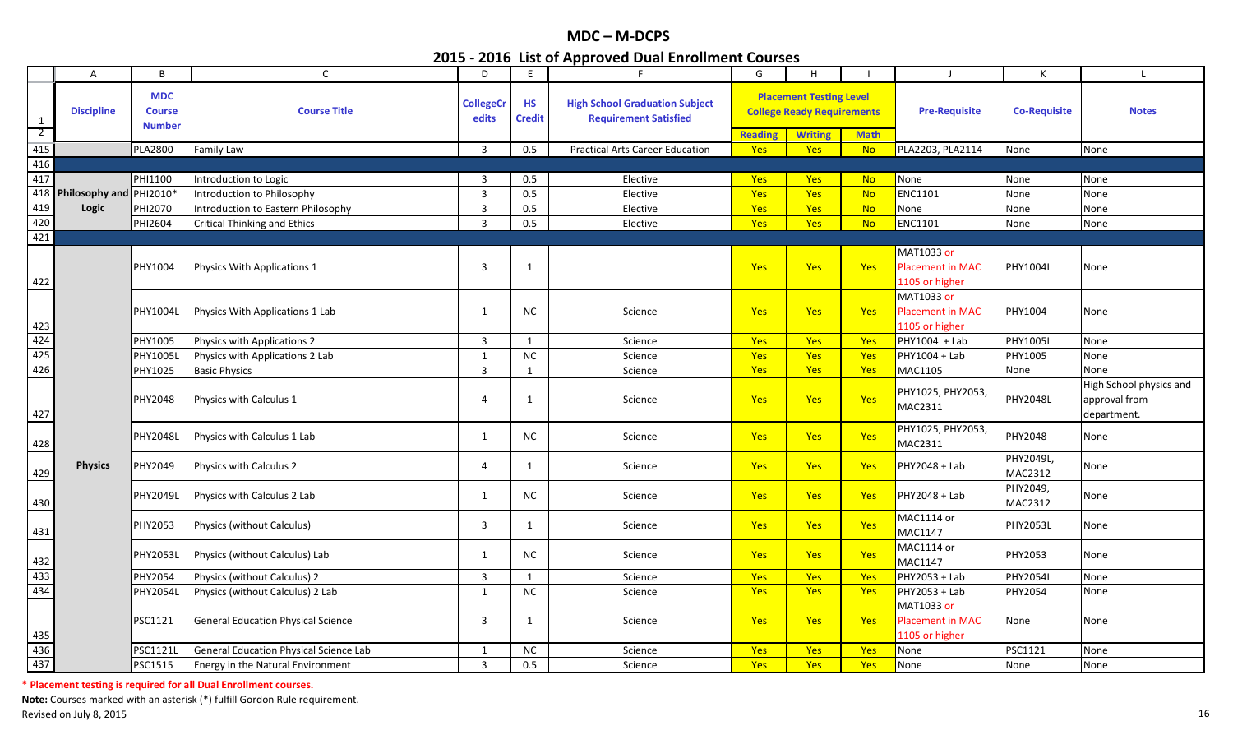|                                                                | $\mathsf{A}$                | B                                            | $\mathsf{C}$                              | D                         | E                          | F                                                                     | G                                                                                                    | H              |                      |                                                         | Κ                    |                                                         |
|----------------------------------------------------------------|-----------------------------|----------------------------------------------|-------------------------------------------|---------------------------|----------------------------|-----------------------------------------------------------------------|------------------------------------------------------------------------------------------------------|----------------|----------------------|---------------------------------------------------------|----------------------|---------------------------------------------------------|
| $\mathbf{1}$<br>$\overline{2}$                                 | <b>Discipline</b>           | <b>MDC</b><br><b>Course</b><br><b>Number</b> | <b>Course Title</b>                       | <b>CollegeCr</b><br>edits | <b>HS</b><br><b>Credit</b> | <b>High School Graduation Subject</b><br><b>Requirement Satisfied</b> | <b>Placement Testing Level</b><br><b>College Ready Requirements</b><br><b>Reading</b><br><b>Math</b> |                | <b>Pre-Requisite</b> | <b>Co-Requisite</b>                                     | <b>Notes</b>         |                                                         |
| $\overline{415}$                                               |                             | <b>PLA2800</b>                               |                                           |                           | 0.5                        | <b>Practical Arts Career Education</b>                                |                                                                                                      | <b>Writing</b> |                      |                                                         |                      |                                                         |
| 416                                                            |                             |                                              | <b>Family Law</b>                         | $\overline{3}$            |                            |                                                                       | Yes                                                                                                  | <b>Yes</b>     | <b>No</b>            | PLA2203, PLA2114                                        | None                 | None                                                    |
| 417                                                            |                             | PHI1100                                      | Introduction to Logic                     | 3                         | 0.5                        | Elective                                                              | <b>Yes</b>                                                                                           | <b>Yes</b>     | <b>No</b>            | None                                                    | None                 | None                                                    |
|                                                                | 418 Philosophy and PHI2010* |                                              | Introduction to Philosophy                | $\overline{3}$            | 0.5                        | Elective                                                              | Yes                                                                                                  | Yes            | <b>No</b>            | ENC1101                                                 | None                 | None                                                    |
| 419                                                            | Logic                       | PHI2070                                      | Introduction to Eastern Philosophy        | $\mathbf{3}$              | 0.5                        | Elective                                                              | Yes                                                                                                  | Yes            | <b>No</b>            | None                                                    | None                 | None                                                    |
| 420                                                            |                             | PHI2604                                      | <b>Critical Thinking and Ethics</b>       | $\overline{3}$            | 0.5                        | Elective                                                              | Yes                                                                                                  | <b>Yes</b>     | <b>No</b>            | <b>ENC1101</b>                                          | None                 | None                                                    |
| 421                                                            |                             |                                              |                                           |                           |                            |                                                                       |                                                                                                      |                |                      |                                                         |                      |                                                         |
| 422                                                            |                             | PHY1004                                      | Physics With Applications 1               | 3                         | $\mathbf{1}$               |                                                                       | Yes                                                                                                  | Yes            | Yes                  | MAT1033 or<br><b>Placement in MAC</b><br>1105 or higher | PHY1004L             | None                                                    |
| 423                                                            |                             | PHY1004L                                     | Physics With Applications 1 Lab           | 1                         | NC.                        | Science                                                               | <b>Yes</b>                                                                                           | <b>Yes</b>     | Yes                  | MAT1033 or<br>Placement in MAC<br>1105 or higher        | PHY1004              | None                                                    |
|                                                                |                             | PHY1005                                      | Physics with Applications 2               | $\overline{3}$            | $\overline{1}$             | Science                                                               | <b>Yes</b>                                                                                           | <b>Yes</b>     | Yes                  | PHY1004 + Lab                                           | PHY1005L             | None                                                    |
| $\frac{424}{425}$                                              |                             | PHY1005L                                     | Physics with Applications 2 Lab           | 1                         | NC                         | Science                                                               | Yes                                                                                                  | Yes            | Yes                  | PHY1004 + Lab                                           | PHY1005              | None                                                    |
|                                                                |                             | PHY1025                                      | <b>Basic Physics</b>                      | $\overline{3}$            | $\overline{1}$             | Science                                                               | <b>Yes</b>                                                                                           | <b>Yes</b>     | Yes                  | MAC1105                                                 | None                 | None                                                    |
| 427                                                            |                             | PHY2048                                      | Physics with Calculus 1                   | 4                         | 1                          | Science                                                               | <b>Yes</b>                                                                                           | <b>Yes</b>     | Yes                  | PHY1025, PHY2053,<br>MAC2311                            | <b>PHY2048L</b>      | High School physics and<br>approval from<br>department. |
| 428                                                            |                             | PHY2048L                                     | Physics with Calculus 1 Lab               | $\mathbf{1}$              | <b>NC</b>                  | Science                                                               | Yes                                                                                                  | Yes            | Yes                  | PHY1025, PHY2053,<br>MAC2311                            | PHY2048              | None                                                    |
| 429                                                            | <b>Physics</b>              | PHY2049                                      | <b>Physics with Calculus 2</b>            | 4                         | 1                          | Science                                                               | <b>Yes</b>                                                                                           | <b>Yes</b>     | Yes                  | PHY2048 + Lab                                           | PHY2049L,<br>MAC2312 | None                                                    |
| 430                                                            |                             | PHY2049L                                     | Physics with Calculus 2 Lab               | $\mathbf{1}$              | <b>NC</b>                  | Science                                                               | <b>Yes</b>                                                                                           | <b>Yes</b>     | Yes                  | PHY2048 + Lab                                           | PHY2049,<br>MAC2312  | None                                                    |
| 431                                                            |                             | PHY2053                                      | Physics (without Calculus)                | 3                         | 1                          | Science                                                               | <b>Yes</b>                                                                                           | <b>Yes</b>     | Yes                  | MAC1114 or<br>MAC1147                                   | <b>PHY2053L</b>      | None                                                    |
| 432                                                            |                             | PHY2053L                                     | Physics (without Calculus) Lab            | 1                         | <b>NC</b>                  | Science                                                               | <b>Yes</b>                                                                                           | <b>Yes</b>     | Yes                  | MAC1114 or<br>MAC1147                                   | PHY2053              | None                                                    |
| $\frac{433}{434}$                                              |                             | <b>PHY2054</b>                               | Physics (without Calculus) 2              | $\overline{3}$            | 1                          | Science                                                               | <b>Yes</b>                                                                                           | Yes            | Yes                  | PHY2053 + Lab                                           | <b>PHY2054L</b>      | None                                                    |
|                                                                |                             | <b>PHY2054L</b>                              | Physics (without Calculus) 2 Lab          | $\mathbf{1}$              | NC                         | Science                                                               | <b>Yes</b>                                                                                           | <b>Yes</b>     | Yes                  | PHY2053 + Lab                                           | PHY2054              | None                                                    |
|                                                                |                             | PSC1121                                      | <b>General Education Physical Science</b> | 3                         | -1                         | Science                                                               | <b>Yes</b>                                                                                           | <b>Yes</b>     | Yes                  | MAT1033 or<br><b>Placement in MAC</b><br>1105 or higher | None                 | None                                                    |
| $\begin{array}{r} 435 \\ \hline 436 \\ \hline 437 \end{array}$ |                             | PSC1121l                                     | General Education Physical Science Lab    | 1                         | <b>NC</b>                  | Science                                                               | Yes                                                                                                  | Yes            | Yes                  | None                                                    | <b>PSC1121</b>       | None                                                    |
|                                                                |                             | PSC1515                                      | <b>Energy in the Natural Environment</b>  | $\overline{3}$            | 0.5                        | Science                                                               | Yes                                                                                                  | <b>Yes</b>     | Yes                  | None                                                    | None                 | None                                                    |

**\* Placement testing is required for all Dual Enrollment courses.**

**Note:** Courses marked with an asterisk (\*) fulfill Gordon Rule requirement. Revised on July 8, 2015 **16 Figure 2016** 16 Revised on July 8, 2015 16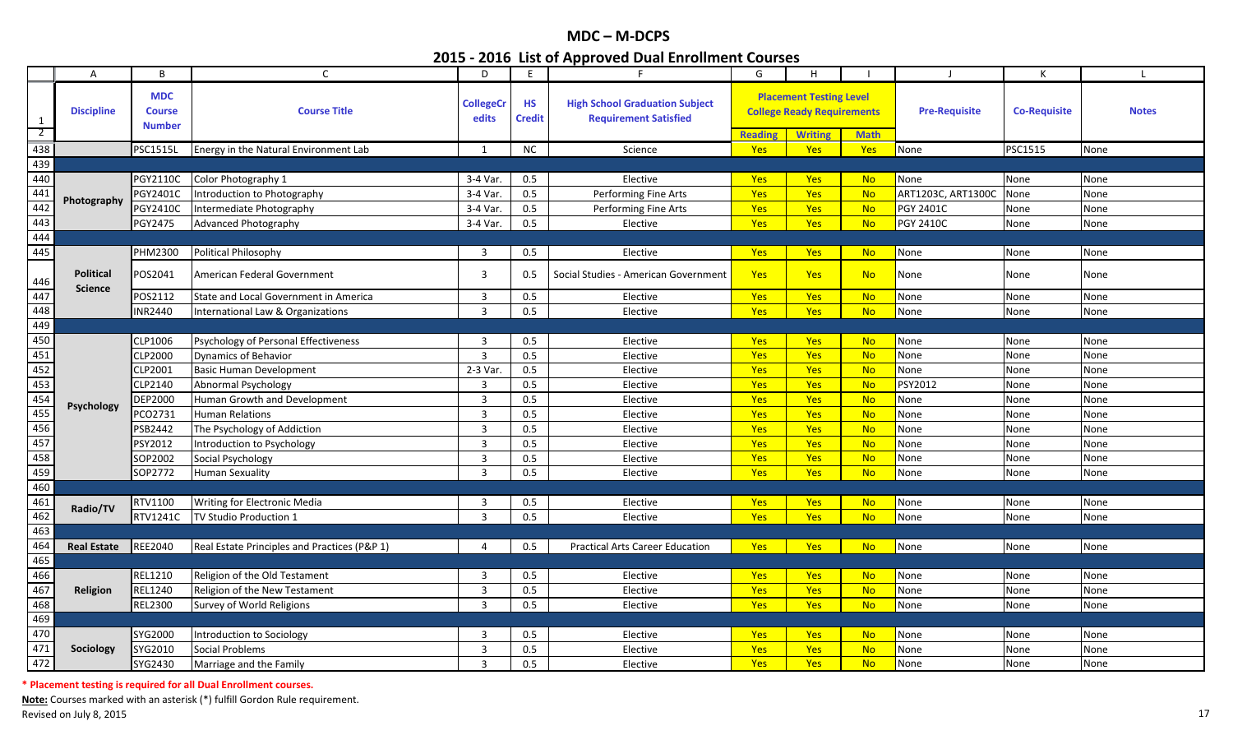|                                | A                  | B                                            | $\mathsf{C}$                                 | D                         | E.                         | F.                                                                    | G                                                                                                                      | H          |                      |                     | К            | $\mathbf{I}$ |
|--------------------------------|--------------------|----------------------------------------------|----------------------------------------------|---------------------------|----------------------------|-----------------------------------------------------------------------|------------------------------------------------------------------------------------------------------------------------|------------|----------------------|---------------------|--------------|--------------|
| $\mathbf{1}$<br>$\overline{2}$ | <b>Discipline</b>  | <b>MDC</b><br><b>Course</b><br><b>Number</b> | <b>Course Title</b>                          | <b>CollegeCr</b><br>edits | <b>HS</b><br><b>Credit</b> | <b>High School Graduation Subject</b><br><b>Requirement Satisfied</b> | <b>Placement Testing Level</b><br><b>College Ready Requirements</b><br><b>Math</b><br><b>Reading</b><br><b>Writing</b> |            | <b>Pre-Requisite</b> | <b>Co-Requisite</b> | <b>Notes</b> |              |
| 438                            |                    | <b>PSC1515L</b>                              | Energy in the Natural Environment Lab        | 1                         | NC                         | Science                                                               | Yes                                                                                                                    | <b>Yes</b> | Yes                  | None                | PSC1515      | None         |
| 439                            |                    |                                              |                                              |                           |                            |                                                                       |                                                                                                                        |            |                      |                     |              |              |
| 440                            |                    | PGY2110C                                     | Color Photography 1                          | 3-4 Var.                  | 0.5                        | Elective                                                              | <b>Yes</b>                                                                                                             | <b>Yes</b> | <b>No</b>            | None                | None         | None         |
| 441                            |                    | PGY2401C                                     | Introduction to Photography                  | 3-4 Var.                  | 0.5                        | Performing Fine Arts                                                  | <b>Yes</b>                                                                                                             | Yes        | <b>No</b>            | ART1203C, ART1300C  | None         | None         |
| 442                            | Photography        | PGY2410C                                     | Intermediate Photography                     | 3-4 Var.                  | 0.5                        | Performing Fine Arts                                                  | Yes                                                                                                                    | <b>Yes</b> | <b>No</b>            | PGY 2401C           | None         | None         |
| 443                            |                    | PGY2475                                      | <b>Advanced Photography</b>                  | 3-4 Var.                  | 0.5                        | Elective                                                              | Yes                                                                                                                    | <b>Yes</b> | <b>No</b>            | PGY 2410C           | None         | None         |
| 444                            |                    |                                              |                                              |                           |                            |                                                                       |                                                                                                                        |            |                      |                     |              |              |
| 445                            |                    | PHM2300                                      | Political Philosophy                         | $\overline{3}$            | 0.5                        | Elective                                                              | Yes                                                                                                                    | <b>Yes</b> | <b>No</b>            | None                | None         | None         |
| 446                            | <b>Political</b>   | POS2041                                      | American Federal Government                  | 3                         | 0.5                        | Social Studies - American Government                                  | Yes                                                                                                                    | <b>Yes</b> | <b>No</b>            | None                | None         | None         |
| 447                            | <b>Science</b>     | POS2112                                      | State and Local Government in America        | 3                         | 0.5                        | Elective                                                              | Yes                                                                                                                    | <b>Yes</b> | <b>No</b>            | None                | None         | None         |
| 448                            |                    | <b>INR2440</b>                               | International Law & Organizations            | 3                         | 0.5                        | Elective                                                              | Yes                                                                                                                    | <b>Yes</b> | <b>No</b>            | None                | None         | None         |
| 449                            |                    |                                              |                                              |                           |                            |                                                                       |                                                                                                                        |            |                      |                     |              |              |
| 450                            |                    | CLP1006                                      | Psychology of Personal Effectiveness         | 3                         | 0.5                        | Elective                                                              | <b>Yes</b>                                                                                                             | <b>Yes</b> | <b>No</b>            | None                | None         | None         |
| 451                            |                    | CLP2000                                      | <b>Dynamics of Behavior</b>                  | $\overline{3}$            | 0.5                        | Elective                                                              | Yes                                                                                                                    | Yes        | <b>No</b>            | None                | None         | None         |
| 452                            |                    | CLP2001                                      | <b>Basic Human Development</b>               | 2-3 Var.                  | 0.5                        | Elective                                                              | Yes                                                                                                                    | <b>Yes</b> | <b>No</b>            | None                | None         | None         |
| 453                            |                    | CLP2140                                      | <b>Abnormal Psychology</b>                   | 3                         | 0.5                        | Elective                                                              | Yes                                                                                                                    | Yes        | <b>No</b>            | PSY2012             | None         | None         |
| 454                            | Psychology         | DEP2000                                      | Human Growth and Development                 | $\overline{3}$            | 0.5                        | Elective                                                              | Yes                                                                                                                    | Yes        | <b>No</b>            | None                | None         | None         |
| 455                            |                    | PCO2731                                      | <b>Human Relations</b>                       | 3                         | 0.5                        | Elective                                                              | Yes                                                                                                                    | <b>Yes</b> | <b>No</b>            | None                | None         | None         |
| 456                            |                    | PSB2442                                      | The Psychology of Addiction                  | 3                         | 0.5                        | Elective                                                              | Yes                                                                                                                    | Yes        | <b>No</b>            | None                | None         | None         |
| 457                            |                    | PSY2012                                      | Introduction to Psychology                   | 3                         | 0.5                        | Elective                                                              | Yes                                                                                                                    | Yes        | <b>No</b>            | None                | None         | None         |
| 458                            |                    | SOP2002                                      | Social Psychology                            | 3                         | 0.5                        | Elective                                                              | Yes                                                                                                                    | <b>Yes</b> | <b>No</b>            | None                | None         | None         |
| 459                            |                    | SOP2772                                      | Human Sexuality                              | $\overline{3}$            | 0.5                        | Elective                                                              | Yes                                                                                                                    | Yes        | <b>No</b>            | None                | None         | None         |
| 460                            |                    |                                              |                                              |                           |                            |                                                                       |                                                                                                                        |            |                      |                     |              |              |
| 461                            | Radio/TV           | RTV1100                                      | Writing for Electronic Media                 | 3                         | 0.5                        | Elective                                                              | Yes                                                                                                                    | <b>Yes</b> | <b>No</b>            | None                | None         | None         |
| 462                            |                    | RTV1241C                                     | TV Studio Production 1                       | 3                         | 0.5                        | Elective                                                              | Yes                                                                                                                    | <b>Yes</b> | <b>No</b>            | None                | None         | None         |
| 463                            |                    |                                              |                                              |                           |                            |                                                                       |                                                                                                                        |            |                      |                     |              |              |
| 464                            | <b>Real Estate</b> | <b>REE2040</b>                               | Real Estate Principles and Practices (P&P 1) | 4                         | 0.5                        | <b>Practical Arts Career Education</b>                                | Yes                                                                                                                    | <b>Yes</b> | <b>No</b>            | None                | None         | None         |
| 465                            |                    |                                              |                                              |                           |                            |                                                                       |                                                                                                                        |            |                      |                     |              |              |
| 466                            |                    | REL1210                                      | Religion of the Old Testament                | $\overline{3}$            | 0.5                        | Elective                                                              | Yes                                                                                                                    | Yes        | <b>No</b>            | None                | None         | None         |
| 467                            | Religion           | REL1240                                      | Religion of the New Testament                | 3                         | 0.5                        | Elective                                                              | Yes                                                                                                                    | Yes        | <b>No</b>            | None                | None         | None         |
| 468                            |                    | REL2300                                      | Survey of World Religions                    | 3                         | 0.5                        | Elective                                                              | Yes                                                                                                                    | <b>Yes</b> | <b>No</b>            | None                | None         | None         |
| 469                            |                    |                                              |                                              |                           |                            |                                                                       |                                                                                                                        |            |                      |                     |              |              |
| 470                            |                    | SYG2000                                      | Introduction to Sociology                    | 3                         | 0.5                        | Elective                                                              | <b>Yes</b>                                                                                                             | <b>Yes</b> | <b>No</b>            | None                | None         | None         |
| 471                            | Sociology          | SYG2010                                      | Social Problems                              | $\overline{3}$            | 0.5                        | Elective                                                              | Yes                                                                                                                    | Yes        | <b>No</b>            | None                | None         | None         |
| 472                            |                    | SYG2430                                      | Marriage and the Family                      | $\overline{3}$            | 0.5                        | Elective                                                              | Yes                                                                                                                    | Yes        | <b>No</b>            | None                | None         | None         |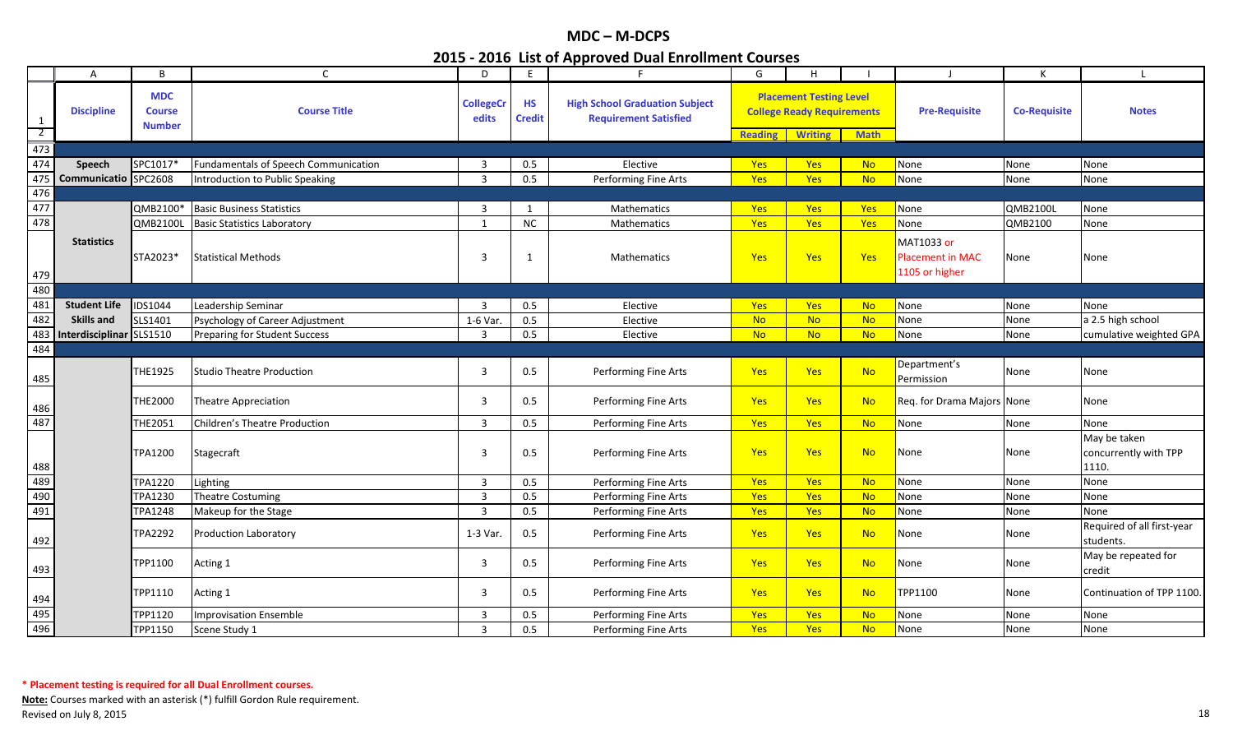|                                | A                    | B                                            | $\mathsf{C}$                                | D                         | E                          | $\mathsf{E}\hspace{-.15em}$                                           | G              | H                                                                                     |             |                                                         | K                   |                                                |
|--------------------------------|----------------------|----------------------------------------------|---------------------------------------------|---------------------------|----------------------------|-----------------------------------------------------------------------|----------------|---------------------------------------------------------------------------------------|-------------|---------------------------------------------------------|---------------------|------------------------------------------------|
| $\mathbf{1}$<br>$\overline{2}$ | <b>Discipline</b>    | <b>MDC</b><br><b>Course</b><br><b>Number</b> | <b>Course Title</b>                         | <b>CollegeCr</b><br>edits | <b>HS</b><br><b>Credit</b> | <b>High School Graduation Subject</b><br><b>Requirement Satisfied</b> | <b>Reading</b> | <b>Placement Testing Level</b><br><b>College Ready Requirements</b><br><b>Writing</b> | <b>Math</b> | <b>Pre-Requisite</b>                                    | <b>Co-Requisite</b> | <b>Notes</b>                                   |
| 473                            |                      |                                              |                                             |                           |                            |                                                                       |                |                                                                                       |             |                                                         |                     |                                                |
| 474                            | <b>Speech</b>        | SPC1017*                                     | <b>Fundamentals of Speech Communication</b> | $\overline{3}$            | 0.5                        | Elective                                                              | Yes            | <b>Yes</b>                                                                            | <b>No</b>   | None                                                    | None                | None                                           |
| 475                            | Communicatio SPC2608 |                                              | Introduction to Public Speaking             | $\mathbf{a}$              | 0.5                        | Performing Fine Arts                                                  | Yes            | Yes                                                                                   | <b>No</b>   | None                                                    | None                | None                                           |
| 476                            |                      |                                              |                                             |                           |                            |                                                                       |                |                                                                                       |             |                                                         |                     |                                                |
| 477                            |                      | QMB2100*                                     | <b>Basic Business Statistics</b>            | $\overline{3}$            | -1                         | Mathematics                                                           | Yes            | Yes                                                                                   | Yes         | None                                                    | <b>QMB2100L</b>     | None                                           |
| 478                            |                      | <b>QMB2100L</b>                              | <b>Basic Statistics Laboratory</b>          | 1                         | <b>NC</b>                  | Mathematics                                                           | Yes            | Yes                                                                                   | Yes         | None                                                    | QMB2100             | None                                           |
| 479                            | <b>Statistics</b>    | STA2023*                                     | <b>Statistical Methods</b>                  | 3                         | 1                          | Mathematics                                                           | Yes            | <b>Yes</b>                                                                            | Yes         | MAT1033 or<br><b>Placement in MAC</b><br>1105 or higher | None                | None                                           |
| 480                            |                      |                                              |                                             |                           |                            |                                                                       |                |                                                                                       |             |                                                         |                     |                                                |
| 481                            | <b>Student Life</b>  | <b>IDS1044</b>                               | Leadership Seminar                          | $\mathbf{3}$              | 0.5                        | Elective                                                              | Yes            | <b>Yes</b>                                                                            | <b>No</b>   | None                                                    | None                | None                                           |
| 482                            | <b>Skills and</b>    | SLS1401                                      | Psychology of Career Adjustment             | 1-6 Var.                  | 0.5                        | Elective                                                              | <b>No</b>      | <b>No</b>                                                                             | <b>No</b>   | None                                                    | None                | a 2.5 high school                              |
| 483                            | Interdisciplinar     | SLS1510                                      | <b>Preparing for Student Success</b>        | $\overline{3}$            | 0.5                        | Elective                                                              | <b>No</b>      | <b>No</b>                                                                             | <b>No</b>   | None                                                    | None                | cumulative weighted GPA                        |
| 484                            |                      |                                              |                                             |                           |                            |                                                                       |                |                                                                                       |             |                                                         |                     |                                                |
| 485                            |                      | THE1925                                      | <b>Studio Theatre Production</b>            | 3                         | 0.5                        | <b>Performing Fine Arts</b>                                           | Yes            | <b>Yes</b>                                                                            | <b>No</b>   | Department's<br>Permission                              | None                | None                                           |
| 486                            |                      | THE2000                                      | <b>Theatre Appreciation</b>                 | 3                         | 0.5                        | Performing Fine Arts                                                  | <b>Yes</b>     | <b>Yes</b>                                                                            | <b>No</b>   | Req. for Drama Majors None                              |                     | None                                           |
| 487                            |                      | THE2051                                      | <b>Children's Theatre Production</b>        | $\overline{3}$            | 0.5                        | Performing Fine Arts                                                  | Yes            | Yes                                                                                   | <b>No</b>   | None                                                    | None                | None                                           |
| 488                            |                      | <b>TPA1200</b>                               | Stagecraft                                  | 3                         | 0.5                        | Performing Fine Arts                                                  | Yes            | Yes                                                                                   | <b>No</b>   | None                                                    | None                | May be taken<br>concurrently with TPP<br>1110. |
| 489                            |                      | <b>TPA1220</b>                               | Lighting                                    | 3                         | 0.5                        | Performing Fine Arts                                                  | Yes            | Yes                                                                                   | <b>No</b>   | None                                                    | None                | None                                           |
| 490                            |                      | <b>TPA1230</b>                               | <b>Theatre Costuming</b>                    | $\overline{3}$            | 0.5                        | Performing Fine Arts                                                  | Yes            | Yes                                                                                   | <b>No</b>   | None                                                    | None                | None                                           |
| 491                            |                      | TPA1248                                      | Makeup for the Stage                        | $\overline{3}$            | 0.5                        | Performing Fine Arts                                                  | Yes            | <b>Yes</b>                                                                            | <b>No</b>   | None                                                    | None                | None                                           |
| 492                            |                      | TPA2292                                      | Production Laboratory                       | 1-3 Var.                  | 0.5                        | Performing Fine Arts                                                  | Yes            | Yes                                                                                   | <b>No</b>   | None                                                    | None                | Required of all first-year<br>students.        |
| 493                            |                      | TPP1100                                      | Acting 1                                    | 3                         | 0.5                        | Performing Fine Arts                                                  | Yes            | Yes                                                                                   | <b>No</b>   | None                                                    | None                | May be repeated for<br>credit                  |
| 494                            |                      | TPP1110                                      | Acting 1                                    | 3                         | 0.5                        | Performing Fine Arts                                                  | Yes            | <b>Yes</b>                                                                            | <b>No</b>   | TPP1100                                                 | None                | Continuation of TPP 1100.                      |
| 495                            |                      | TPP1120                                      | <b>Improvisation Ensemble</b>               | $\overline{3}$            | 0.5                        | Performing Fine Arts                                                  | Yes            | Yes                                                                                   | <b>No</b>   | None                                                    | None                | None                                           |
| 496                            |                      | TPP1150                                      | Scene Study 1                               | $\overline{3}$            | 0.5                        | Performing Fine Arts                                                  | Yes            | <b>Yes</b>                                                                            | <b>No</b>   | None                                                    | None                | None                                           |